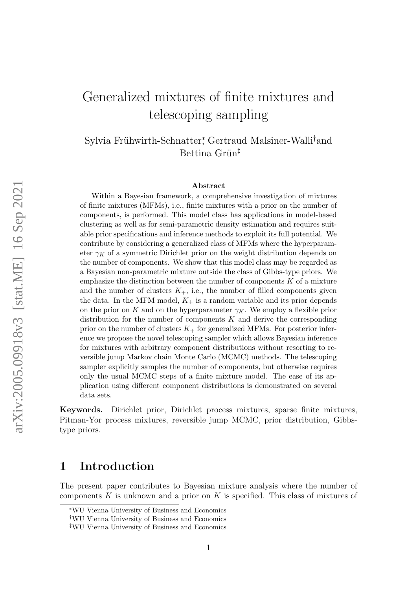# Generalized mixtures of finite mixtures and telescoping sampling

Sylvia Frühwirth-Schnatter<sup>\*</sup>, Gertraud Malsiner-Walli<sup>†</sup>and Bettina Grün<sup>‡</sup>

#### Abstract

Within a Bayesian framework, a comprehensive investigation of mixtures of finite mixtures (MFMs), i.e., finite mixtures with a prior on the number of components, is performed. This model class has applications in model-based clustering as well as for semi-parametric density estimation and requires suitable prior specifications and inference methods to exploit its full potential. We contribute by considering a generalized class of MFMs where the hyperparameter  $\gamma_K$  of a symmetric Dirichlet prior on the weight distribution depends on the number of components. We show that this model class may be regarded as a Bayesian non-parametric mixture outside the class of Gibbs-type priors. We emphasize the distinction between the number of components  $K$  of a mixture and the number of clusters  $K_{+}$ , i.e., the number of filled components given the data. In the MFM model,  $K_{+}$  is a random variable and its prior depends on the prior on K and on the hyperparameter  $\gamma_K$ . We employ a flexible prior distribution for the number of components  $K$  and derive the corresponding prior on the number of clusters  $K_{+}$  for generalized MFMs. For posterior inference we propose the novel telescoping sampler which allows Bayesian inference for mixtures with arbitrary component distributions without resorting to reversible jump Markov chain Monte Carlo (MCMC) methods. The telescoping sampler explicitly samples the number of components, but otherwise requires only the usual MCMC steps of a finite mixture model. The ease of its application using different component distributions is demonstrated on several data sets.

Keywords. Dirichlet prior, Dirichlet process mixtures, sparse finite mixtures, Pitman-Yor process mixtures, reversible jump MCMC, prior distribution, Gibbstype priors.

# 1 Introduction

The present paper contributes to Bayesian mixture analysis where the number of components K is unknown and a prior on K is specified. This class of mixtures of

<sup>∗</sup>WU Vienna University of Business and Economics

<sup>†</sup>WU Vienna University of Business and Economics

<sup>‡</sup>WU Vienna University of Business and Economics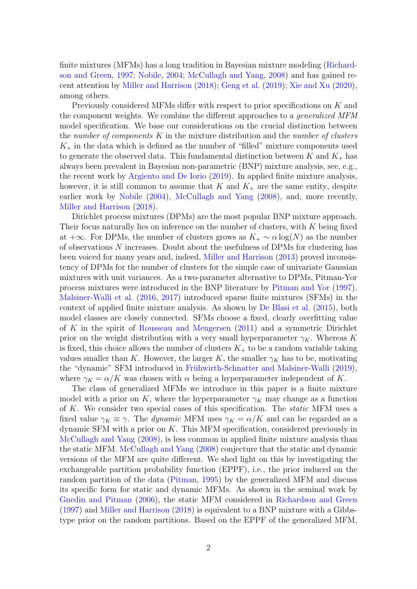finite mixtures (MFMs) has a long tradition in Bayesian mixture modeling [\(Richard](#page-28-0)[son and Green,](#page-28-0) [1997;](#page-28-0) [Nobile,](#page-28-1) [2004;](#page-28-1) [McCullagh and Yang,](#page-27-0) [2008\)](#page-27-0) and has gained recent attention by [Miller and Harrison](#page-27-1) [\(2018\)](#page-27-1); [Geng et al.](#page-26-0) [\(2019\)](#page-26-0); [Xie and Xu](#page-28-2) [\(2020\)](#page-28-2), among others.

Previously considered MFMs differ with respect to prior specifications on K and the component weights. We combine the different approaches to a *generalized MFM* model specification. We base our considerations on the crucial distinction between the number of components  $K$  in the mixture distribution and the number of clusters  $K_{+}$  in the data which is defined as the number of "filled" mixture components used to generate the observed data. This fundamental distinction between  $K$  and  $K_{+}$  has always been prevalent in Bayesian non-parametric (BNP) mixture analysis, see, e.g., the recent work by [Argiento and De Iorio](#page-25-0) [\(2019\)](#page-25-0). In applied finite mixture analysis, however, it is still common to assume that  $K$  and  $K_{+}$  are the same entity, despite earlier work by [Nobile](#page-28-1) [\(2004\)](#page-28-1), [McCullagh and Yang](#page-27-0) [\(2008\)](#page-27-0), and, more recently, [Miller and Harrison](#page-27-1) [\(2018\)](#page-27-1).

Dirichlet process mixtures (DPMs) are the most popular BNP mixture approach. Their focus naturally lies on inference on the number of clusters, with K being fixed at  $+\infty$ . For DPMs, the number of clusters grows as  $K_+ \sim \alpha \log(N)$  as the number of observations N increases. Doubt about the usefulness of DPMs for clustering has been voiced for many years and, indeed, [Miller and Harrison](#page-27-2) [\(2013\)](#page-27-2) proved inconsistency of DPMs for the number of clusters for the simple case of univariate Gaussian mixtures with unit variances. As a two-parameter alternative to DPMs, Pitman-Yor process mixtures were introduced in the BNP literature by [Pitman and Yor](#page-28-3) [\(1997\)](#page-28-3). [Malsiner-Walli et al.](#page-27-3) [\(2016,](#page-27-3) [2017\)](#page-27-4) introduced sparse finite mixtures (SFMs) in the context of applied finite mixture analysis. As shown by [De Blasi et al.](#page-26-1) [\(2015\)](#page-26-1), both model classes are closely connected. SFMs choose a fixed, clearly overfitting value of K in the spirit of [Rousseau and Mengersen](#page-28-4) [\(2011\)](#page-28-4) and a symmetric Dirichlet prior on the weight distribution with a very small hyperparameter  $\gamma_K$ . Whereas K is fixed, this choice allows the number of clusters  $K_{+}$  to be a random variable taking values smaller than K. However, the larger K, the smaller  $\gamma_K$  has to be, motivating the "dynamic" SFM introduced in Frühwirth-Schnatter and Malsiner-Walli [\(2019\)](#page-26-2), where  $\gamma_K = \alpha/K$  was chosen with  $\alpha$  being a hyperparameter independent of K.

The class of generalized MFMs we introduce in this paper is a finite mixture model with a prior on K, where the hyperparameter  $\gamma_K$  may change as a function of K. We consider two special cases of this specification. The *static* MFM uses a fixed value  $\gamma_K \equiv \gamma$ . The *dynamic* MFM uses  $\gamma_K = \alpha/K$  and can be regarded as a dynamic SFM with a prior on  $K$ . This MFM specification, considered previously in [McCullagh and Yang](#page-27-0) [\(2008\)](#page-27-0), is less common in applied finite mixture analysis than the static MFM. [McCullagh and Yang](#page-27-0) [\(2008\)](#page-27-0) conjecture that the static and dynamic versions of the MFM are quite different. We shed light on this by investigating the exchangeable partition probability function (EPPF), i.e., the prior induced on the random partition of the data [\(Pitman,](#page-28-5) [1995\)](#page-28-5) by the generalized MFM and discuss its specific form for static and dynamic MFMs. As shown in the seminal work by [Gnedin and Pitman](#page-26-3) [\(2006\)](#page-26-3), the static MFM considered in [Richardson and Green](#page-28-0) [\(1997\)](#page-28-0) and [Miller and Harrison](#page-27-1) [\(2018\)](#page-27-1) is equivalent to a BNP mixture with a Gibbstype prior on the random partitions. Based on the EPPF of the generalized MFM,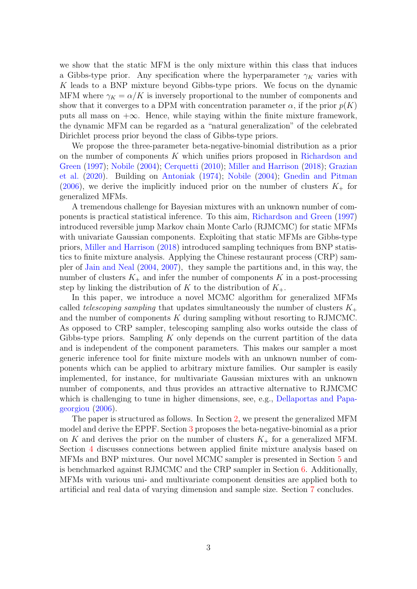we show that the static MFM is the only mixture within this class that induces a Gibbs-type prior. Any specification where the hyperparameter  $\gamma_K$  varies with  $K$  leads to a BNP mixture beyond Gibbs-type priors. We focus on the dynamic MFM where  $\gamma_K = \alpha/K$  is inversely proportional to the number of components and show that it converges to a DPM with concentration parameter  $\alpha$ , if the prior  $p(K)$ puts all mass on  $+\infty$ . Hence, while staying within the finite mixture framework, the dynamic MFM can be regarded as a "natural generalization" of the celebrated Dirichlet process prior beyond the class of Gibbs-type priors.

We propose the three-parameter beta-negative-binomial distribution as a prior on the number of components K which unifies priors proposed in [Richardson and](#page-28-0) [Green](#page-28-0) [\(1997\)](#page-28-0); [Nobile](#page-28-1) [\(2004\)](#page-28-1); [Cerquetti](#page-26-4) [\(2010\)](#page-26-4); [Miller and Harrison](#page-27-1) [\(2018\)](#page-27-1); [Grazian](#page-26-5) [et al.](#page-26-5) [\(2020\)](#page-26-5). Building on [Antoniak](#page-25-1) [\(1974\)](#page-25-1); [Nobile](#page-28-1) [\(2004\)](#page-28-1); [Gnedin and Pitman](#page-26-3)  $(2006)$ , we derive the implicitly induced prior on the number of clusters  $K_{+}$  for generalized MFMs.

A tremendous challenge for Bayesian mixtures with an unknown number of components is practical statistical inference. To this aim, [Richardson and Green](#page-28-0) [\(1997\)](#page-28-0) introduced reversible jump Markov chain Monte Carlo (RJMCMC) for static MFMs with univariate Gaussian components. Exploiting that static MFMs are Gibbs-type priors, [Miller and Harrison](#page-27-1) [\(2018\)](#page-27-1) introduced sampling techniques from BNP statistics to finite mixture analysis. Applying the Chinese restaurant process (CRP) sampler of [Jain and Neal](#page-27-5) [\(2004,](#page-27-5) [2007\)](#page-27-6), they sample the partitions and, in this way, the number of clusters  $K_{+}$  and infer the number of components K in a post-processing step by linking the distribution of K to the distribution of  $K_{+}$ .

In this paper, we introduce a novel MCMC algorithm for generalized MFMs called telescoping sampling that updates simultaneously the number of clusters  $K_{+}$ and the number of components K during sampling without resorting to RJMCMC. As opposed to CRP sampler, telescoping sampling also works outside the class of Gibbs-type priors. Sampling  $K$  only depends on the current partition of the data and is independent of the component parameters. This makes our sampler a most generic inference tool for finite mixture models with an unknown number of components which can be applied to arbitrary mixture families. Our sampler is easily implemented, for instance, for multivariate Gaussian mixtures with an unknown number of components, and thus provides an attractive alternative to RJMCMC which is challenging to tune in higher dimensions, see, e.g., [Dellaportas and Papa](#page-26-6)[georgiou](#page-26-6) [\(2006\)](#page-26-6).

The paper is structured as follows. In Section [2,](#page-3-0) we present the generalized MFM model and derive the EPPF. Section [3](#page-6-0) proposes the beta-negative-binomial as a prior on K and derives the prior on the number of clusters  $K_{+}$  for a generalized MFM. Section [4](#page-10-0) discusses connections between applied finite mixture analysis based on MFMs and BNP mixtures. Our novel MCMC sampler is presented in Section [5](#page-14-0) and is benchmarked against RJMCMC and the CRP sampler in Section [6.](#page-18-0) Additionally, MFMs with various uni- and multivariate component densities are applied both to artificial and real data of varying dimension and sample size. Section [7](#page-25-2) concludes.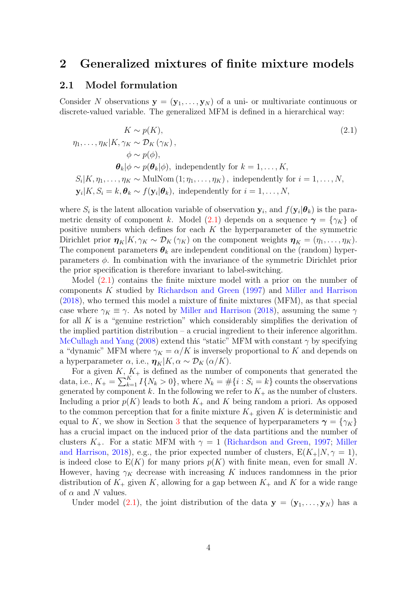## <span id="page-3-0"></span>2 Generalized mixtures of finite mixture models

### 2.1 Model formulation

Consider N observations  $y = (y_1, \ldots, y_N)$  of a uni- or multivariate continuous or discrete-valued variable. The generalized MFM is defined in a hierarchical way:

<span id="page-3-1"></span>
$$
K \sim p(K),
$$
\n
$$
\eta_1, \ldots, \eta_K | K, \gamma_K \sim \mathcal{D}_K (\gamma_K),
$$
\n
$$
\phi \sim p(\phi),
$$
\n
$$
\theta_k | \phi \sim p(\theta_k | \phi),
$$
 independently for  $k = 1, \ldots, K$ ,\n
$$
S_i | K, \eta_1, \ldots, \eta_K \sim \text{MulNom}(1; \eta_1, \ldots, \eta_K),
$$
 independently for  $i = 1, \ldots, N$ ,\n
$$
\mathbf{y}_i | K, S_i = k, \theta_k \sim f(\mathbf{y}_i | \theta_k),
$$
 independently for  $i = 1, \ldots, N$ ,

where  $S_i$  is the latent allocation variable of observation  $y_i$ , and  $f(y_i|\theta_k)$  is the para-metric density of component k. Model [\(2.1\)](#page-3-1) depends on a sequence  $\gamma = \{\gamma_K\}$  of positive numbers which defines for each  $K$  the hyperparameter of the symmetric Dirichlet prior  $\eta_K|K, \gamma_K \sim \mathcal{D}_K(\gamma_K)$  on the component weights  $\eta_K = (\eta_1, \ldots, \eta_K)$ . The component parameters  $\theta_k$  are independent conditional on the (random) hyperparameters  $\phi$ . In combination with the invariance of the symmetric Dirichlet prior the prior specification is therefore invariant to label-switching.

Model [\(2.1\)](#page-3-1) contains the finite mixture model with a prior on the number of components K studied by [Richardson and Green](#page-28-0) [\(1997\)](#page-28-0) and [Miller and Harrison](#page-27-1) [\(2018\)](#page-27-1), who termed this model a mixture of finite mixtures (MFM), as that special case where  $\gamma_K \equiv \gamma$ . As noted by [Miller and Harrison](#page-27-1) [\(2018\)](#page-27-1), assuming the same  $\gamma$ for all  $K$  is a "genuine restriction" which considerably simplifies the derivation of the implied partition distribution – a crucial ingredient to their inference algorithm. [McCullagh and Yang](#page-27-0) [\(2008\)](#page-27-0) extend this "static" MFM with constant  $\gamma$  by specifying a "dynamic" MFM where  $\gamma_K = \alpha/K$  is inversely proportional to K and depends on a hyperparameter  $\alpha$ , i.e.,  $\eta_K|K, \alpha \sim \mathcal{D}_K(\alpha/K)$ .

For a given  $K, K_+$  is defined as the number of components that generated the data, i.e.,  $K_+ = \sum_{k=1}^K I\{N_k > 0\}$ , where  $N_k = \#\{i : S_i = k\}$  counts the observations generated by component k. In the following we refer to  $K_{+}$  as the number of clusters. Including a prior  $p(K)$  leads to both  $K_+$  and K being random a priori. As opposed to the common perception that for a finite mixture  $K_{+}$  given K is deterministic and equal to K, we show in Section [3](#page-6-0) that the sequence of hyperparameters  $\gamma = \{\gamma_K\}$ has a crucial impact on the induced prior of the data partitions and the number of clusters  $K_{+}$ . For a static MFM with  $\gamma = 1$  [\(Richardson and Green,](#page-28-0) [1997;](#page-28-0) [Miller](#page-27-1) [and Harrison,](#page-27-1) [2018\)](#page-27-1), e.g., the prior expected number of clusters,  $E(K_{+}|N,\gamma=1)$ , is indeed close to  $E(K)$  for many priors  $p(K)$  with finite mean, even for small N. However, having  $\gamma_K$  decrease with increasing K induces randomness in the prior distribution of  $K_{+}$  given K, allowing for a gap between  $K_{+}$  and K for a wide range of  $\alpha$  and N values.

Under model [\(2.1\)](#page-3-1), the joint distribution of the data  $y = (y_1, \ldots, y_N)$  has a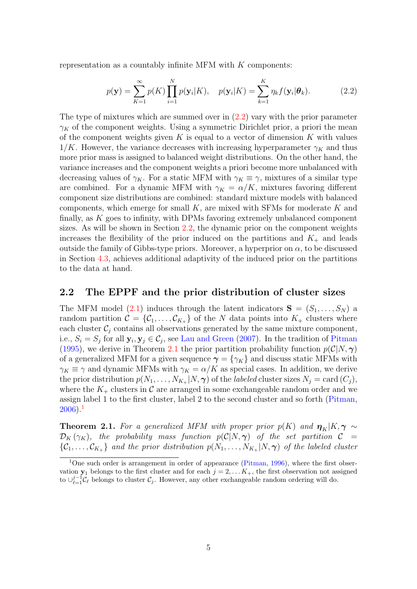representation as a countably infinite MFM with  $K$  components:

<span id="page-4-0"></span>
$$
p(\mathbf{y}) = \sum_{K=1}^{\infty} p(K) \prod_{i=1}^{N} p(\mathbf{y}_i|K), \quad p(\mathbf{y}_i|K) = \sum_{k=1}^{K} \eta_k f(\mathbf{y}_i|\boldsymbol{\theta}_k).
$$
 (2.2)

The type of mixtures which are summed over in [\(2.2\)](#page-4-0) vary with the prior parameter  $\gamma_K$  of the component weights. Using a symmetric Dirichlet prior, a priori the mean of the component weights given  $K$  is equal to a vector of dimension  $K$  with values  $1/K$ . However, the variance decreases with increasing hyperparameter  $\gamma_K$  and thus more prior mass is assigned to balanced weight distributions. On the other hand, the variance increases and the component weights a priori become more unbalanced with decreasing values of  $\gamma_K$ . For a static MFM with  $\gamma_K \equiv \gamma$ , mixtures of a similar type are combined. For a dynamic MFM with  $\gamma_K = \alpha/K$ , mixtures favoring different component size distributions are combined: standard mixture models with balanced components, which emerge for small  $K$ , are mixed with SFMs for moderate K and finally, as  $K$  goes to infinity, with DPMs favoring extremely unbalanced component sizes. As will be shown in Section [2.2,](#page-4-1) the dynamic prior on the component weights increases the flexibility of the prior induced on the partitions and  $K_{+}$  and leads outside the family of Gibbs-type priors. Moreover, a hyperprior on  $\alpha$ , to be discussed in Section [4.3,](#page-14-1) achieves additional adaptivity of the induced prior on the partitions to the data at hand.

### <span id="page-4-1"></span>2.2 The EPPF and the prior distribution of cluster sizes

The MFM model [\(2.1\)](#page-3-1) induces through the latent indicators  $S = (S_1, \ldots, S_N)$  a random partition  $\mathcal{C} = \{C_1, \ldots, C_{K_+}\}\$  of the N data points into  $K_+$  clusters where each cluster  $C_j$  contains all observations generated by the same mixture component, i.e.,  $S_i = S_j$  for all  $\mathbf{y}_i, \mathbf{y}_j \in C_j$ , see [Lau and Green](#page-27-7) [\(2007\)](#page-27-7). In the tradition of [Pitman](#page-28-5) [\(1995\)](#page-28-5), we derive in Theorem [2.1](#page-4-2) the prior partition probability function  $p(\mathcal{C}|N,\gamma)$ of a generalized MFM for a given sequence  $\gamma = \{\gamma_K\}$  and discuss static MFMs with  $\gamma_K \equiv \gamma$  and dynamic MFMs with  $\gamma_K = \alpha/K$  as special cases. In addition, we derive the prior distribution  $p(N_1, \ldots, N_{K_+}|N, \gamma)$  of the *labeled* cluster sizes  $N_j = \text{card}(C_j)$ , where the  $K_{+}$  clusters in C are arranged in some exchangeable random order and we assign label 1 to the first cluster, label 2 to the second cluster and so forth [\(Pitman,](#page-28-6)  $2006$ ).<sup>[1](#page-4-3)</sup>

<span id="page-4-2"></span>**Theorem 2.1.** For a generalized MFM with proper prior  $p(K)$  and  $\boldsymbol{\eta}_K|K, \boldsymbol{\gamma} \sim$  $\mathcal{D}_K(\gamma_K)$ , the probability mass function  $p(\mathcal{C}|N,\boldsymbol{\gamma})$  of the set partition  $\mathcal{C}$  =  $\{\mathcal{C}_1,\ldots,\mathcal{C}_{K_+}\}\$  and the prior distribution  $p(N_1,\ldots,N_{K_+}|N,\boldsymbol{\gamma})$  of the labeled cluster

<span id="page-4-3"></span><sup>&</sup>lt;sup>1</sup>One such order is arrangement in order of appearance [\(Pitman,](#page-28-7)  $1996$ ), where the first observation  $y_1$  belongs to the first cluster and for each  $j = 2, \ldots K_+$ , the first observation not assigned to  $\cup_{\ell=1}^{j-1}C_{\ell}$  belongs to cluster  $C_j$ . However, any other exchangeable random ordering will do.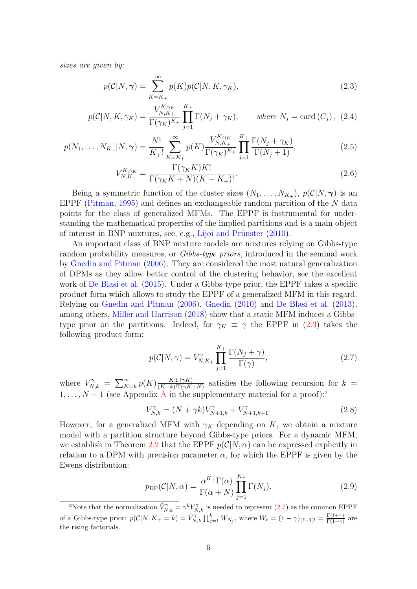sizes are given by:

<span id="page-5-0"></span>
$$
p(C|N,\gamma) = \sum_{K=K_{+}}^{\infty} p(K)p(C|N,K,\gamma_{K}),
$$
\n(2.3)

$$
p(C|N, K, \gamma_K) = \frac{V_{N, K_+}^{K, \gamma_K}}{\Gamma(\gamma_K)^{K_+}} \prod_{j=1}^{K_+} \Gamma(N_j + \gamma_K), \qquad \text{where } N_j = \text{card}(C_j), \tag{2.4}
$$

$$
p(N_1, \ldots, N_{K_+}|N, \gamma) = \frac{N!}{K_+!} \sum_{K=K_+}^{\infty} p(K) \frac{V_{N,K_+}^{K, \gamma_K}}{\Gamma(\gamma_K)^{K_+}} \prod_{j=1}^{K_+} \frac{\Gamma(N_j + \gamma_K)}{\Gamma(N_j + 1)},
$$
(2.5)

<span id="page-5-7"></span><span id="page-5-4"></span><span id="page-5-3"></span>
$$
V_{N,K_{+}}^{K,\gamma_{K}} = \frac{\Gamma(\gamma_{K}K)K!}{\Gamma(\gamma_{K}K+N)(K-K_{+})!}.
$$
\n(2.6)

Being a symmetric function of the cluster sizes  $(N_1, \ldots, N_{K_+}), p(\mathcal{C}|N, \gamma)$  is an EPPF [\(Pitman,](#page-28-5) [1995\)](#page-28-5) and defines an exchangeable random partition of the N data points for the class of generalized MFMs. The EPPF is instrumental for understanding the mathematical properties of the implied partitions and is a main object of interest in BNP mixtures, see, e.g., Lijoi and Prünster  $(2010)$ .

An important class of BNP mixture models are mixtures relying on Gibbs-type random probability measures, or *Gibbs-type priors*, introduced in the seminal work by [Gnedin and Pitman](#page-26-3) [\(2006\)](#page-26-3). They are considered the most natural generalization of DPMs as they allow better control of the clustering behavior, see the excellent work of [De Blasi et al.](#page-26-1) [\(2015\)](#page-26-1). Under a Gibbs-type prior, the EPPF takes a specific product form which allows to study the EPPF of a generalized MFM in this regard. Relying on [Gnedin and Pitman](#page-26-3) [\(2006\)](#page-26-3), [Gnedin](#page-26-7) [\(2010\)](#page-26-7) and [De Blasi et al.](#page-26-8) [\(2013\)](#page-26-8), among others, [Miller and Harrison](#page-27-1) [\(2018\)](#page-27-1) show that a static MFM induces a Gibbstype prior on the partitions. Indeed, for  $\gamma_K \equiv \gamma$  the EPPF in [\(2.3\)](#page-5-0) takes the following product form:

<span id="page-5-2"></span>
$$
p(C|N,\gamma) = V_{N,K_{+}}^{\gamma} \prod_{j=1}^{K_{+}} \frac{\Gamma(N_j + \gamma)}{\Gamma(\gamma)},
$$
\n(2.7)

where  $V_{N,k}^{\gamma} = \sum_{K=k}^{\infty} p(K) \frac{K! \Gamma(\gamma K)}{(K-k)! \Gamma(\gamma K)}$  $\frac{K \prod (\gamma K)}{(K-k)!\Gamma(\gamma K+N)}$  satisfies the following recursion for  $k =$  $1, \ldots, N-1$  (see [A](#page-29-0)ppendix A in the supplementary material for a proof):<sup>[2](#page-5-1)</sup>

<span id="page-5-5"></span>
$$
V_{N,k}^{\gamma} = (N + \gamma k) V_{N+1,k}^{\gamma} + V_{N+1,k+1}^{\gamma}.
$$
 (2.8)

However, for a generalized MFM with  $\gamma_K$  depending on K, we obtain a mixture model with a partition structure beyond Gibbs-type priors. For a dynamic MFM, we establish in Theorem [2.2](#page-6-1) that the EPPF  $p(\mathcal{C}|N,\alpha)$  can be expressed explicitly in relation to a DPM with precision parameter  $\alpha$ , for which the EPPF is given by the Ewens distribution:

<span id="page-5-6"></span>
$$
p_{\rm DP}(\mathcal{C}|N,\alpha) = \frac{\alpha^{K_{+}}\Gamma(\alpha)}{\Gamma(\alpha+N)} \prod_{j=1}^{K_{+}} \Gamma(N_j). \tag{2.9}
$$

<span id="page-5-1"></span><sup>&</sup>lt;sup>2</sup>Note that the normalization  $\tilde{V}_{N,k}^{\gamma} = \gamma^k V_{N,k}^{\gamma}$  is needed to represent [\(2.7\)](#page-5-2) as the common EPPF of a Gibbs-type prior:  $p(\mathcal{C}|N, K_{+} = k) = \tilde{V}_{N,k}^{\gamma} \prod_{j=1}^{k} W_{N_j}$ , where  $W_{\ell} = (1 + \gamma)_{(\ell-1)!} = \frac{\Gamma(\ell+\gamma)}{\Gamma(1+\gamma)}$  $\frac{\Gamma(\ell+\gamma)}{\Gamma(1+\gamma)}$  are the rising factorials.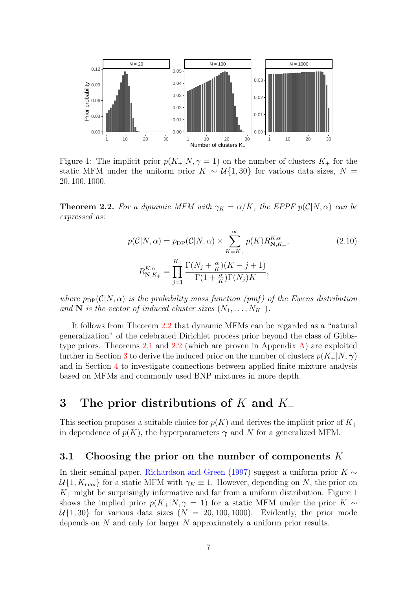<span id="page-6-2"></span>

Figure 1: The implicit prior  $p(K_{+}|N,\gamma=1)$  on the number of clusters  $K_{+}$  for the static MFM under the uniform prior  $K \sim \mathcal{U}{1,30}$  for various data sizes,  $N =$ 20, 100, 1000.

<span id="page-6-1"></span>**Theorem 2.2.** For a dynamic MFM with  $\gamma_K = \alpha/K$ , the EPPF  $p(\mathcal{C}|N,\alpha)$  can be expressed as:

<span id="page-6-4"></span>
$$
p(C|N,\alpha) = p_{\text{DP}}(C|N,\alpha) \times \sum_{K=K_{+}}^{\infty} p(K) R_{\mathbf{N},K_{+}}^{K,\alpha},\tag{2.10}
$$

$$
R_{\mathbf{N},K_{+}}^{K,\alpha} = \prod_{j=1}^{K_{+}} \frac{\Gamma(N_j + \frac{\alpha}{K})(K-j+1)}{\Gamma(1 + \frac{\alpha}{K})\Gamma(N_j)K},
$$

where  $p_{\text{DP}}(\mathcal{C}|N,\alpha)$  is the probability mass function (pmf) of the Ewens distribution and **N** is the vector of induced cluster sizes  $(N_1, \ldots, N_{K_+})$ .

It follows from Theorem [2.2](#page-6-1) that dynamic MFMs can be regarded as a "natural generalization" of the celebrated Dirichlet process prior beyond the class of Gibbs-type priors. Theorems [2.1](#page-4-2) and [2.2](#page-6-1) (which are proven in Appendix  $\hat{A}$ ) are exploited further in Section [3](#page-6-0) to derive the induced prior on the number of clusters  $p(K_{+}|N,\gamma)$ and in Section [4](#page-10-0) to investigate connections between applied finite mixture analysis based on MFMs and commonly used BNP mixtures in more depth.

# <span id="page-6-0"></span>3 The prior distributions of K and  $K_{+}$

This section proposes a suitable choice for  $p(K)$  and derives the implicit prior of  $K_{+}$ in dependence of  $p(K)$ , the hyperparameters  $\gamma$  and N for a generalized MFM.

### <span id="page-6-3"></span>3.1 Choosing the prior on the number of components  $K$

In their seminal paper, [Richardson and Green](#page-28-0) [\(1997\)](#page-28-0) suggest a uniform prior  $K \sim$  $U\{1, K_{\text{max}}\}$  for a static MFM with  $\gamma_K \equiv 1$ . However, depending on N, the prior on  $K_{+}$  might be surprisingly informative and far from a uniform distribution. Figure [1](#page-6-2) shows the implied prior  $p(K_{+}|N,\gamma=1)$  for a static MFM under the prior K ∼  $U\{1, 30\}$  for various data sizes  $(N = 20, 100, 1000)$ . Evidently, the prior mode depends on N and only for larger N approximately a uniform prior results.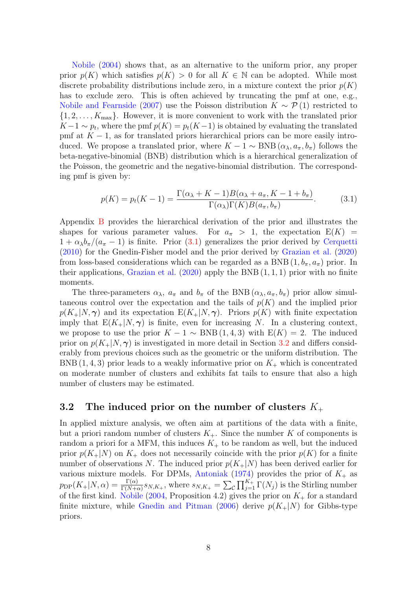[Nobile](#page-28-1) [\(2004\)](#page-28-1) shows that, as an alternative to the uniform prior, any proper prior  $p(K)$  which satisfies  $p(K) > 0$  for all  $K \in \mathbb{N}$  can be adopted. While most discrete probability distributions include zero, in a mixture context the prior  $p(K)$ has to exclude zero. This is often achieved by truncating the pmf at one, e.g., [Nobile and Fearnside](#page-28-8) [\(2007\)](#page-28-8) use the Poisson distribution  $K \sim \mathcal{P}(1)$  restricted to  $\{1, 2, \ldots, K_{\text{max}}\}.$  However, it is more convenient to work with the translated prior  $K-1 \sim p_t$ , where the pmf  $p(K) = p_t(K-1)$  is obtained by evaluating the translated pmf at  $K - 1$ , as for translated priors hierarchical priors can be more easily introduced. We propose a translated prior, where  $K - 1 \sim BNB (\alpha_{\lambda}, a_{\pi}, b_{\pi})$  follows the beta-negative-binomial (BNB) distribution which is a hierarchical generalization of the Poisson, the geometric and the negative-binomial distribution. The corresponding pmf is given by:

<span id="page-7-0"></span>
$$
p(K) = p_t(K-1) = \frac{\Gamma(\alpha_\lambda + K - 1)B(\alpha_\lambda + a_\pi, K - 1 + b_\pi)}{\Gamma(\alpha_\lambda)\Gamma(K)B(a_\pi, b_\pi)}.
$$
(3.1)

Appendix [B](#page-33-0) provides the hierarchical derivation of the prior and illustrates the shapes for various parameter values. For  $a_{\pi} > 1$ , the expectation  $E(K) =$  $1 + \alpha_{\lambda}b_{\pi}/(a_{\pi} - 1)$  is finite. Prior [\(3.1\)](#page-7-0) generalizes the prior derived by [Cerquetti](#page-26-4) [\(2010\)](#page-26-4) for the Gnedin-Fisher model and the prior derived by [Grazian et al.](#page-26-5) [\(2020\)](#page-26-5) from loss-based considerations which can be regarded as a BNB  $(1, b_{\pi}, a_{\pi})$  prior. In their applications, [Grazian et al.](#page-26-5)  $(2020)$  apply the BNB  $(1, 1, 1)$  prior with no finite moments.

The three-parameters  $\alpha_{\lambda}$ ,  $a_{\pi}$  and  $b_{\pi}$  of the BNB  $(\alpha_{\lambda}, a_{\pi}, b_{\pi})$  prior allow simultaneous control over the expectation and the tails of  $p(K)$  and the implied prior  $p(K_{+}|N,\gamma)$  and its expectation  $E(K_{+}|N,\gamma)$ . Priors  $p(K)$  with finite expectation imply that  $E(K_{+}|N,\gamma)$  is finite, even for increasing N. In a clustering context, we propose to use the prior  $K - 1 \sim BNB(1, 4, 3)$  with  $E(K) = 2$ . The induced prior on  $p(K_{+}|N,\gamma)$  is investigated in more detail in Section [3.2](#page-7-1) and differs considerably from previous choices such as the geometric or the uniform distribution. The BNB (1, 4, 3) prior leads to a weakly informative prior on  $K_{+}$  which is concentrated on moderate number of clusters and exhibits fat tails to ensure that also a high number of clusters may be estimated.

### <span id="page-7-1"></span>3.2 The induced prior on the number of clusters  $K_{+}$

In applied mixture analysis, we often aim at partitions of the data with a finite, but a priori random number of clusters  $K_{+}$ . Since the number K of components is random a priori for a MFM, this induces  $K_{+}$  to be random as well, but the induced prior  $p(K_{+}|N)$  on  $K_{+}$  does not necessarily coincide with the prior  $p(K)$  for a finite number of observations N. The induced prior  $p(K_{+}|N)$  has been derived earlier for various mixture models. For DPMs, [Antoniak](#page-25-1) [\(1974\)](#page-25-1) provides the prior of  $K_{+}$  as  $p_{\text{DP}}(K_+|N,\alpha) = \frac{\Gamma(\alpha)}{\Gamma(N+\alpha)} s_{N,K_+},$  where  $s_{N,K_+} = \sum_{\mathcal{C}} \prod_{j=1}^{K_+} \Gamma(N_j)$  is the Stirling number of the first kind. [Nobile](#page-28-1) [\(2004,](#page-28-1) Proposition 4.2) gives the prior on  $K_{+}$  for a standard finite mixture, while [Gnedin and Pitman](#page-26-3) [\(2006\)](#page-26-3) derive  $p(K_{+}|N)$  for Gibbs-type priors.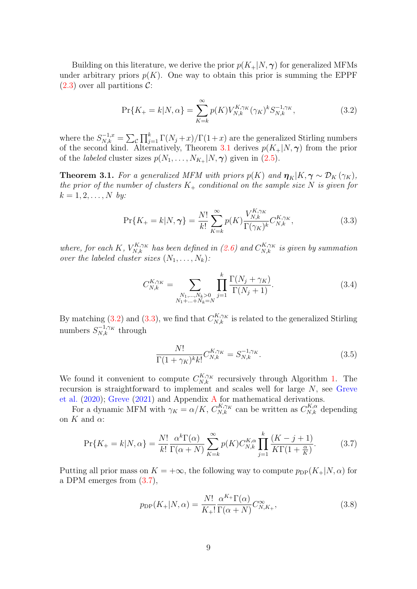Building on this literature, we derive the prior  $p(K_{+}|N,\gamma)$  for generalized MFMs under arbitrary priors  $p(K)$ . One way to obtain this prior is summing the EPPF  $(2.3)$  over all partitions C:

<span id="page-8-1"></span>
$$
\Pr\{K_{+}=k|N,\alpha\} = \sum_{K=k}^{\infty} p(K)V_{N,k}^{K,\gamma_K}(\gamma_K)^k S_{N,k}^{-1,\gamma_K},\tag{3.2}
$$

where the  $S_{N,k}^{-1,x} = \sum_{\mathcal{C}} \prod_{j=1}^{k} \Gamma(N_j + x) / \Gamma(1+x)$  are the generalized Stirling numbers of the second kind. Alternatively, Theorem [3.1](#page-8-0) derives  $p(K_{+}|N,\gamma)$  from the prior of the *labeled* cluster sizes  $p(N_1, \ldots, N_{K_+}|N, \gamma)$  given in [\(2.5\)](#page-5-3).

<span id="page-8-0"></span>**Theorem 3.1.** For a generalized MFM with priors  $p(K)$  and  $\boldsymbol{\eta}_K|K, \boldsymbol{\gamma} \sim \mathcal{D}_K(\gamma_K)$ , the prior of the number of clusters  $K_+$  conditional on the sample size N is given for  $k = 1, 2, ..., N$  by:

$$
\Pr\{K_{+}=k|N,\gamma\} = \frac{N!}{k!} \sum_{K=k}^{\infty} p(K) \frac{V_{N,k}^{K,\gamma_K}}{\Gamma(\gamma_K)^k} C_{N,k}^{K,\gamma_K},\tag{3.3}
$$

where, for each K,  $V_{N,k}^{K,\gamma_K}$  has been defined in [\(2.6\)](#page-5-4) and  $C_{N,k}^{K,\gamma_K}$  is given by summation over the labeled cluster sizes  $(N_1, \ldots, N_k)$ :

<span id="page-8-2"></span>
$$
C_{N,k}^{K,\gamma_K} = \sum_{\substack{N_1,\dots,N_k>0\\N_1+\dots+N_k=N}} \prod_{j=1}^k \frac{\Gamma(N_j+\gamma_K)}{\Gamma(N_j+1)}.
$$
\n(3.4)

By matching [\(3.2\)](#page-8-1) and [\(3.3\)](#page-8-2), we find that  $C_{N,k}^{K,\gamma_K}$  is related to the generalized Stirling numbers  $S_{N,k}^{-1,\gamma_K}$  through

<span id="page-8-4"></span><span id="page-8-3"></span>
$$
\frac{N!}{\Gamma(1+\gamma_K)^k k!} C_{N,k}^{K,\gamma_K} = S_{N,k}^{-1,\gamma_K}.
$$
\n(3.5)

We found it convenient to compute  $C_{N,k}^{K,\gamma_K}$  recursively through Algorithm [1.](#page-9-0) The recursion is straightforward to implement and scales well for large N, see [Greve](#page-26-9) [et al.](#page-26-9) [\(2020\)](#page-26-9); [Greve](#page-26-10) [\(2021\)](#page-26-10) and Appendix [A](#page-29-0) for mathematical derivations.

For a dynamic MFM with  $\gamma_K = \alpha/K$ ,  $C_{N,k}^{K,\gamma_K}$  can be written as  $C_{N,k}^{K,\alpha}$  depending on  $K$  and  $\alpha$ :

$$
\Pr\{K_+ = k | N, \alpha\} = \frac{N!}{k!} \frac{\alpha^k \Gamma(\alpha)}{\Gamma(\alpha + N)} \sum_{K=k}^{\infty} p(K) C_{N,k}^{K,\alpha} \prod_{j=1}^k \frac{(K - j + 1)}{K \Gamma(1 + \frac{\alpha}{K})}.
$$
 (3.7)

Putting all prior mass on  $K = +\infty$ , the following way to compute  $p_{\text{DP}}(K_+|N,\alpha)$  for a DPM emerges from [\(3.7\)](#page-8-3),

$$
p_{\rm DP}(K_+|N,\alpha) = \frac{N!}{K_+!} \frac{\alpha^{K_+} \Gamma(\alpha)}{\Gamma(\alpha+N)} C_{N,K_+}^{\infty},\tag{3.8}
$$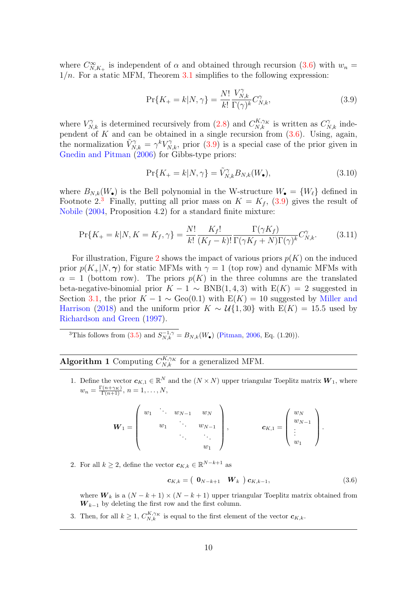where  $C^{\infty}_{N,K_{+}}$  is independent of  $\alpha$  and obtained through recursion [\(3.6\)](#page-9-1) with  $w_n =$  $1/n$ . For a static MFM, Theorem [3.1](#page-8-0) simplifies to the following expression:

<span id="page-9-2"></span>
$$
\Pr\{K_{+}=k|N,\gamma\} = \frac{N!}{k!} \frac{V_{N,k}^{\gamma}}{\Gamma(\gamma)^{k}} C_{N,k}^{\gamma},\tag{3.9}
$$

where  $V_{N,k}^{\gamma}$  is determined recursively from [\(2.8\)](#page-5-5) and  $C_{N,k}^{K,\gamma_K}$  is written as  $C_{N,k}^{\gamma}$  independent of K and can be obtained in a single recursion from  $(3.6)$ . Using, again, the normalization  $\tilde{V}_{N,k}^{\gamma} = \gamma^k V_{N,k}^{\gamma}$ , prior [\(3.9\)](#page-9-2) is a special case of the prior given in [Gnedin and Pitman](#page-26-3) [\(2006\)](#page-26-3) for Gibbs-type priors:

$$
\Pr\{K_{+}=k|N,\gamma\}=\tilde{V}_{N,k}^{\gamma}B_{N,k}(W_{\bullet}),\tag{3.10}
$$

where  $B_{N,k}(W_{\bullet})$  is the Bell polynomial in the W-structure  $W_{\bullet} = \{W_{\ell}\}\$  defined in Footnote 2.<sup>[3](#page-9-3)</sup> Finally, putting all prior mass on  $K = K_f$ , [\(3.9\)](#page-9-2) gives the result of [Nobile](#page-28-1) [\(2004,](#page-28-1) Proposition 4.2) for a standard finite mixture:

$$
\Pr\{K_{+}=k|N,K=K_{f},\gamma\}=\frac{N!}{k!}\frac{K_{f}!}{(K_{f}-k)!}\frac{\Gamma(\gamma K_{f})}{\Gamma(\gamma K_{f}+N)\Gamma(\gamma)^{k}}C_{N,k}^{\gamma}.\tag{3.11}
$$

For illustration, Figure [2](#page-10-1) shows the impact of various priors  $p(K)$  on the induced prior  $p(K_{+}|N,\gamma)$  for static MFMs with  $\gamma=1$  (top row) and dynamic MFMs with  $\alpha = 1$  (bottom row). The priors  $p(K)$  in the three columns are the translated beta-negative-binomial prior  $K - 1 \sim BNB(1, 4, 3)$  with  $E(K) = 2$  suggested in Section [3.1,](#page-6-3) the prior  $K - 1 \sim \text{Geo}(0.1)$  with  $E(K) = 10$  suggested by [Miller and](#page-27-1) [Harrison](#page-27-1) [\(2018\)](#page-27-1) and the uniform prior  $K \sim \mathcal{U}{1,30}$  with  $E(K) = 15.5$  used by [Richardson and Green](#page-28-0) [\(1997\)](#page-28-0).

<span id="page-9-3"></span><sup>3</sup>This follows from [\(3.5\)](#page-8-4) and  $S_{N,k}^{-1,\gamma} = B_{N,k}(W_{\bullet})$  [\(Pitman,](#page-28-6) [2006,](#page-28-6) Eq. (1.20)).

<span id="page-9-0"></span>**Algorithm 1** Computing  $C_{N,k}^{K,\gamma_K}$  for a generalized MFM.

1. Define the vector  $c_{K,1} \in \mathbb{R}^N$  and the  $(N \times N)$  upper triangular Toeplitz matrix  $W_1$ , where  $w_n = \frac{\Gamma(n+\gamma_K)}{\Gamma(n+1)}, n = 1, \ldots, N,$ 

$$
\boldsymbol{W}_1 = \left( \begin{array}{cccc} w_1 & \ddots & w_{N-1} & w_N \\ & w_1 & \ddots & w_{N-1} \\ & & \ddots & \ddots & \vdots \\ & & & w_1 \end{array} \right), \qquad \boldsymbol{c}_{K,1} = \left( \begin{array}{c} w_N \\ w_{N-1} \\ \vdots \\ w_1 \end{array} \right).
$$

2. For all  $k \geq 2$ , define the vector  $c_{K,k} \in \mathbb{R}^{N-k+1}$  as

<span id="page-9-1"></span>
$$
\mathbf{c}_{K,k} = \begin{pmatrix} \mathbf{0}_{N-k+1} & \mathbf{W}_k \end{pmatrix} \mathbf{c}_{K,k-1},\tag{3.6}
$$

where  $W_k$  is a  $(N - k + 1) \times (N - k + 1)$  upper triangular Toeplitz matrix obtained from  $W_{k-1}$  by deleting the first row and the first column.

3. Then, for all  $k \geq 1$ ,  $C_{N,k}^{K,\gamma_K}$  is equal to the first element of the vector  $c_{K,k}$ .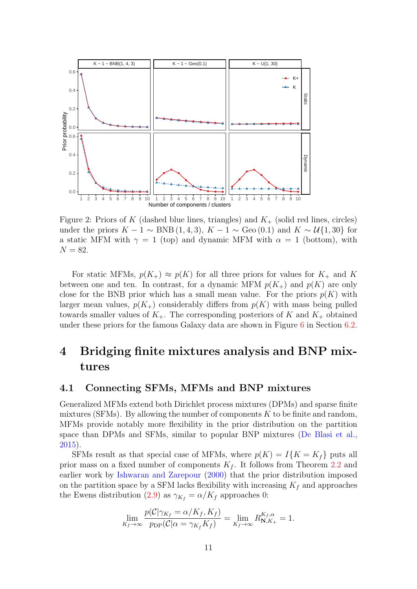<span id="page-10-1"></span>

Figure 2: Priors of K (dashed blue lines, triangles) and  $K_{+}$  (solid red lines, circles) under the priors  $K - 1 \sim BNB(1, 4, 3), K - 1 \sim Geo(0.1)$  and  $K \sim U\{1, 30\}$  for a static MFM with  $\gamma = 1$  (top) and dynamic MFM with  $\alpha = 1$  (bottom), with  $N = 82.$ 

For static MFMs,  $p(K_{+}) \approx p(K)$  for all three priors for values for  $K_{+}$  and K between one and ten. In contrast, for a dynamic MFM  $p(K_{+})$  and  $p(K)$  are only close for the BNB prior which has a small mean value. For the priors  $p(K)$  with larger mean values,  $p(K_{+})$  considerably differs from  $p(K)$  with mass being pulled towards smaller values of  $K_{+}$ . The corresponding posteriors of K and  $K_{+}$  obtained under these priors for the famous Galaxy data are shown in Figure [6](#page-21-0) in Section [6.2.](#page-20-0)

# <span id="page-10-0"></span>4 Bridging finite mixtures analysis and BNP mixtures

### 4.1 Connecting SFMs, MFMs and BNP mixtures

Generalized MFMs extend both Dirichlet process mixtures (DPMs) and sparse finite mixtures (SFMs). By allowing the number of components  $K$  to be finite and random, MFMs provide notably more flexibility in the prior distribution on the partition space than DPMs and SFMs, similar to popular BNP mixtures [\(De Blasi et al.,](#page-26-1) [2015\)](#page-26-1).

SFMs result as that special case of MFMs, where  $p(K) = I\{K = K_f\}$  puts all prior mass on a fixed number of components  $K_f$ . It follows from Theorem [2.2](#page-6-1) and earlier work by [Ishwaran and Zarepour](#page-27-9) [\(2000\)](#page-27-9) that the prior distribution imposed on the partition space by a SFM lacks flexibility with increasing  $K_f$  and approaches the Ewens distribution [\(2.9\)](#page-5-6) as  $\gamma_{K_f} = \alpha/K_f$  approaches 0:

$$
\lim_{K_f \to \infty} \frac{p(\mathcal{C}|\gamma_{K_f} = \alpha/K_f, K_f)}{p_{\text{DP}}(\mathcal{C}|\alpha = \gamma_{K_f}K_f)} = \lim_{K_f \to \infty} R_{\mathbf{N}, K_+}^{K_f, \alpha} = 1.
$$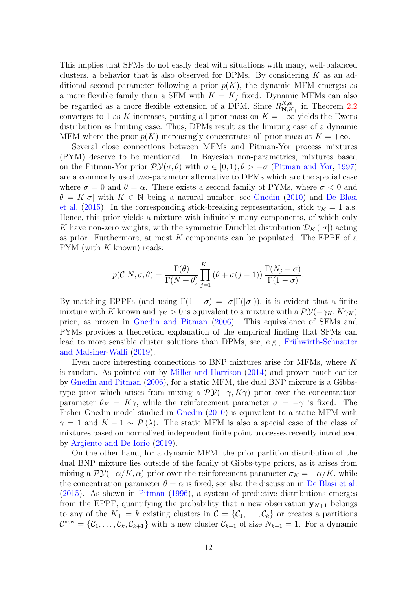This implies that SFMs do not easily deal with situations with many, well-balanced clusters, a behavior that is also observed for DPMs. By considering  $K$  as an additional second parameter following a prior  $p(K)$ , the dynamic MFM emerges as a more flexible family than a SFM with  $K = K_f$  fixed. Dynamic MFMs can also be regarded as a more flexible extension of a DPM. Since  $R_{\bf N,k}^{K,\alpha}$  $\sum_{N,K_+}^{K,\alpha}$  in Theorem [2.2](#page-6-1) converges to 1 as K increases, putting all prior mass on  $K = +\infty$  yields the Ewens distribution as limiting case. Thus, DPMs result as the limiting case of a dynamic MFM where the prior  $p(K)$  increasingly concentrates all prior mass at  $K = +\infty$ .

Several close connections between MFMs and Pitman-Yor process mixtures (PYM) deserve to be mentioned. In Bayesian non-parametrics, mixtures based on the Pitman-Yor prior  $\mathcal{PV}(\sigma,\theta)$  with  $\sigma \in [0,1), \theta > -\sigma$  [\(Pitman and Yor,](#page-28-3) [1997\)](#page-28-3) are a commonly used two-parameter alternative to DPMs which are the special case where  $\sigma = 0$  and  $\theta = \alpha$ . There exists a second family of PYMs, where  $\sigma < 0$  and  $\theta = K|\sigma|$  with  $K \in \mathbb{N}$  being a natural number, see [Gnedin](#page-26-7) [\(2010\)](#page-26-7) and [De Blasi](#page-26-1) [et al.](#page-26-1) [\(2015\)](#page-26-1). In the corresponding stick-breaking representation, stick  $v_K = 1$  a.s. Hence, this prior yields a mixture with infinitely many components, of which only K have non-zero weights, with the symmetric Dirichlet distribution  $\mathcal{D}_K(|\sigma|)$  acting as prior. Furthermore, at most  $K$  components can be populated. The EPPF of a  $PYM$  (with  $K$  known) reads:

$$
p(C|N,\sigma,\theta) = \frac{\Gamma(\theta)}{\Gamma(N+\theta)} \prod_{j=1}^{K_+} (\theta + \sigma(j-1)) \frac{\Gamma(N_j - \sigma)}{\Gamma(1-\sigma)}.
$$

By matching EPPFs (and using  $\Gamma(1-\sigma) = |\sigma| \Gamma(|\sigma|)$ ), it is evident that a finite mixture with K known and  $\gamma_K > 0$  is equivalent to a mixture with a  $\mathcal{PV}(-\gamma_K, K\gamma_K)$ prior, as proven in [Gnedin and Pitman](#page-26-3) [\(2006\)](#page-26-3). This equivalence of SFMs and PYMs provides a theoretical explanation of the empirical finding that SFMs can lead to more sensible cluster solutions than DPMs, see, e.g., Frühwirth-Schnatter [and Malsiner-Walli](#page-26-2) [\(2019\)](#page-26-2).

Even more interesting connections to BNP mixtures arise for MFMs, where K is random. As pointed out by [Miller and Harrison](#page-27-10) [\(2014\)](#page-27-10) and proven much earlier by [Gnedin and Pitman](#page-26-3) [\(2006\)](#page-26-3), for a static MFM, the dual BNP mixture is a Gibbstype prior which arises from mixing a  $\mathcal{PV}(-\gamma, K\gamma)$  prior over the concentration parameter  $\theta_K = K\gamma$ , while the reinforcement parameter  $\sigma = -\gamma$  is fixed. The Fisher-Gnedin model studied in [Gnedin](#page-26-7) [\(2010\)](#page-26-7) is equivalent to a static MFM with  $\gamma = 1$  and  $K - 1 \sim \mathcal{P}(\lambda)$ . The static MFM is also a special case of the class of mixtures based on normalized independent finite point processes recently introduced by [Argiento and De Iorio](#page-25-0) [\(2019\)](#page-25-0).

On the other hand, for a dynamic MFM, the prior partition distribution of the dual BNP mixture lies outside of the family of Gibbs-type priors, as it arises from mixing a  $\mathcal{PV}(-\alpha/K, \alpha)$ -prior over the reinforcement parameter  $\sigma_K = -\alpha/K$ , while the concentration parameter  $\theta = \alpha$  is fixed, see also the discussion in [De Blasi et al.](#page-26-1) [\(2015\)](#page-26-1). As shown in [Pitman](#page-28-7) [\(1996\)](#page-28-7), a system of predictive distributions emerges from the EPPF, quantifying the probability that a new observation  $y_{N+1}$  belongs to any of the  $K_+ = k$  existing clusters in  $\mathcal{C} = \{\mathcal{C}_1, \ldots, \mathcal{C}_k\}$  or creates a partitions  $\mathcal{C}^{\text{new}} = \{\mathcal{C}_1,\ldots,\mathcal{C}_k,\mathcal{C}_{k+1}\}\$  with a new cluster  $\mathcal{C}_{k+1}$  of size  $N_{k+1} = 1$ . For a dynamic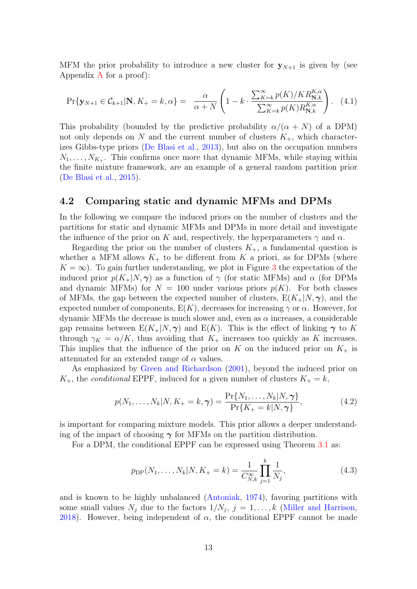MFM the prior probability to introduce a new cluster for  $y_{N+1}$  is given by (see [A](#page-29-0)ppendix  $\bf{A}$  for a proof):

<span id="page-12-0"></span>
$$
\Pr\{\mathbf{y}_{N+1} \in \mathcal{C}_{k+1} | \mathbf{N}, K_+ = k, \alpha\} = \frac{\alpha}{\alpha + N} \left(1 - k \cdot \frac{\sum_{K=k}^{\infty} p(K)/KR_{\mathbf{N},k}^{K,\alpha}}{\sum_{K=k}^{\infty} p(K)R_{\mathbf{N},k}^{K,\alpha}}\right). \tag{4.1}
$$

This probability (bounded by the predictive probability  $\alpha/(\alpha + N)$  of a DPM) not only depends on N and the current number of clusters  $K_{+}$ , which characterizes Gibbs-type priors [\(De Blasi et al.,](#page-26-8) [2013\)](#page-26-8), but also on the occupation numbers  $N_1, \ldots, N_{K_+}$ . This confirms once more that dynamic MFMs, while staying within the finite mixture framework, are an example of a general random partition prior [\(De Blasi et al.,](#page-26-1) [2015\)](#page-26-1).

### 4.2 Comparing static and dynamic MFMs and DPMs

In the following we compare the induced priors on the number of clusters and the partitions for static and dynamic MFMs and DPMs in more detail and investigate the influence of the prior on K and, respectively, the hyperparameters  $\gamma$  and  $\alpha$ .

Regarding the prior on the number of clusters  $K_{+}$ , a fundamental question is whether a MFM allows  $K_{+}$  to be different from K a priori, as for DPMs (where  $K = \infty$ ). To gain further understanding, we plot in Figure [3](#page-13-0) the expectation of the induced prior  $p(K_{+}|N,\gamma)$  as a function of  $\gamma$  (for static MFMs) and  $\alpha$  (for DPMs and dynamic MFMs) for  $N = 100$  under various priors  $p(K)$ . For both classes of MFMs, the gap between the expected number of clusters,  $E(K_{+}|N,\gamma)$ , and the expected number of components,  $E(K)$ , decreases for increasing  $\gamma$  or  $\alpha$ . However, for dynamic MFMs the decrease is much slower and, even as  $\alpha$  increases, a considerable gap remains between  $E(K_{+}|N,\gamma)$  and  $E(K)$ . This is the effect of linking  $\gamma$  to K through  $\gamma_K = \alpha/K$ , thus avoiding that  $K_+$  increases too quickly as K increases. This implies that the influence of the prior on K on the induced prior on  $K_{+}$  is attenuated for an extended range of  $\alpha$  values.

As emphasized by [Green and Richardson](#page-26-11) [\(2001\)](#page-26-11), beyond the induced prior on  $K_{+}$ , the *conditional* EPPF, induced for a given number of clusters  $K_{+} = k$ ,

$$
p(N_1, ..., N_k | N, K_+ = k, \gamma) = \frac{\Pr\{N_1, ..., N_k | N, \gamma\}}{\Pr\{K_+ = k | N, \gamma\}},
$$
\n(4.2)

is important for comparing mixture models. This prior allows a deeper understanding of the impact of choosing  $\gamma$  for MFMs on the partition distribution.

For a DPM, the conditional EPPF can be expressed using Theorem [3.1](#page-8-0) as:

$$
p_{\rm DP}(N_1,\ldots,N_k|N,K_+=k) = \frac{1}{C_{N,k}^{\infty}} \prod_{j=1}^k \frac{1}{N_j},\tag{4.3}
$$

and is known to be highly unbalanced [\(Antoniak,](#page-25-1) [1974\)](#page-25-1), favoring partitions with some small values  $N_j$  due to the factors  $1/N_j$ ,  $j=1,\ldots,k$  [\(Miller and Harrison,](#page-27-1) [2018\)](#page-27-1). However, being independent of  $\alpha$ , the conditional EPPF cannot be made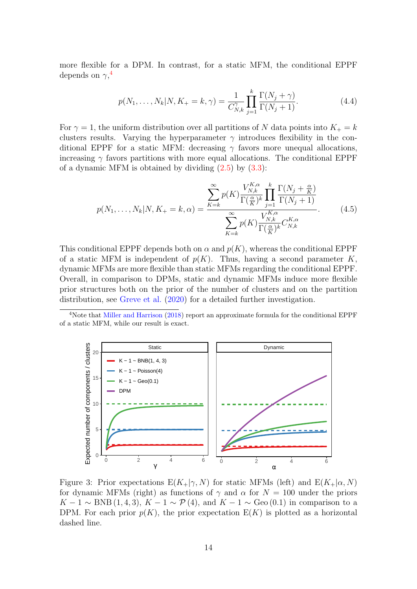more flexible for a DPM. In contrast, for a static MFM, the conditional EPPF depends on  $\gamma$ ,<sup>[4](#page-13-1)</sup>

$$
p(N_1, ..., N_k | N, K_+ = k, \gamma) = \frac{1}{C_{N,k}^{\gamma}} \prod_{j=1}^k \frac{\Gamma(N_j + \gamma)}{\Gamma(N_j + 1)}.
$$
 (4.4)

For  $\gamma = 1$ , the uniform distribution over all partitions of N data points into  $K_{+} = k$ clusters results. Varying the hyperparameter  $\gamma$  introduces flexibility in the conditional EPPF for a static MFM: decreasing  $\gamma$  favors more unequal allocations, increasing  $\gamma$  favors partitions with more equal allocations. The conditional EPPF of a dynamic MFM is obtained by dividing  $(2.5)$  by  $(3.3)$ :

$$
p(N_1, ..., N_k|N, K_+ = k, \alpha) = \frac{\sum_{K=k}^{\infty} p(K) \frac{V_{N,k}^{K,\alpha}}{\Gamma(\frac{\alpha}{K})^k} \prod_{j=1}^k \frac{\Gamma(N_j + \frac{\alpha}{K})}{\Gamma(N_j + 1)}}{\sum_{K=k}^{\infty} p(K) \frac{V_{N,k}^{K,\alpha}}{\Gamma(\frac{\alpha}{K})^k} C_{N,k}^{K,\alpha}}.
$$
(4.5)

This conditional EPPF depends both on  $\alpha$  and  $p(K)$ , whereas the conditional EPPF of a static MFM is independent of  $p(K)$ . Thus, having a second parameter K. dynamic MFMs are more flexible than static MFMs regarding the conditional EPPF. Overall, in comparison to DPMs, static and dynamic MFMs induce more flexible prior structures both on the prior of the number of clusters and on the partition distribution, see [Greve et al.](#page-26-9) [\(2020\)](#page-26-9) for a detailed further investigation.

<span id="page-13-1"></span><sup>4</sup>Note that [Miller and Harrison](#page-27-1) [\(2018\)](#page-27-1) report an approximate formula for the conditional EPPF of a static MFM, while our result is exact.

<span id="page-13-0"></span>

Figure 3: Prior expectations  $E(K_{+}|\gamma, N)$  for static MFMs (left) and  $E(K_{+}|\alpha, N)$ for dynamic MFMs (right) as functions of  $\gamma$  and  $\alpha$  for  $N = 100$  under the priors  $K-1 \sim BNB(1,4,3), K-1 \sim \mathcal{P}(4),$  and  $K-1 \sim \text{Geo}(0.1)$  in comparison to a DPM. For each prior  $p(K)$ , the prior expectation  $E(K)$  is plotted as a horizontal dashed line.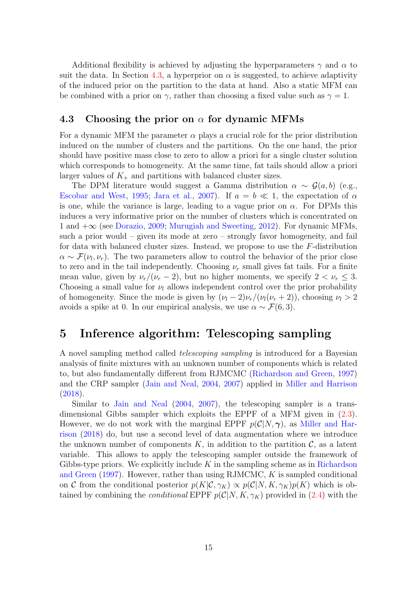Additional flexibility is achieved by adjusting the hyperparameters  $\gamma$  and  $\alpha$  to suit the data. In Section [4.3,](#page-14-1) a hyperprior on  $\alpha$  is suggested, to achieve adaptivity of the induced prior on the partition to the data at hand. Also a static MFM can be combined with a prior on  $\gamma$ , rather than choosing a fixed value such as  $\gamma = 1$ .

### <span id="page-14-1"></span>4.3 Choosing the prior on  $\alpha$  for dynamic MFMs

For a dynamic MFM the parameter  $\alpha$  plays a crucial role for the prior distribution induced on the number of clusters and the partitions. On the one hand, the prior should have positive mass close to zero to allow a priori for a single cluster solution which corresponds to homogeneity. At the same time, fat tails should allow a priori larger values of  $K_{+}$  and partitions with balanced cluster sizes.

The DPM literature would suggest a Gamma distribution  $\alpha \sim \mathcal{G}(a, b)$  (e.g., [Escobar and West,](#page-26-12) [1995;](#page-26-12) [Jara et al.,](#page-27-11) [2007\)](#page-27-11). If  $a = b \ll 1$ , the expectation of  $\alpha$ is one, while the variance is large, leading to a vague prior on  $\alpha$ . For DPMs this induces a very informative prior on the number of clusters which is concentrated on 1 and +∞ (see [Dorazio,](#page-26-13) [2009;](#page-26-13) [Murugiah and Sweeting,](#page-28-9) [2012\)](#page-28-9). For dynamic MFMs, such a prior would – given its mode at zero – strongly favor homogeneity, and fail for data with balanced cluster sizes. Instead, we propose to use the F-distribution  $\alpha \sim \mathcal{F}(\nu_l, \nu_r)$ . The two parameters allow to control the behavior of the prior close to zero and in the tail independently. Choosing  $\nu_r$  small gives fat tails. For a finite mean value, given by  $\nu_r/(\nu_r - 2)$ , but no higher moments, we specify  $2 < \nu_r \leq 3$ . Choosing a small value for  $\nu_l$  allows independent control over the prior probability of homogeneity. Since the mode is given by  $(\nu_l - 2)\nu_r/(\nu_l(\nu_r + 2))$ , choosing  $\nu_l > 2$ avoids a spike at 0. In our empirical analysis, we use  $\alpha \sim \mathcal{F}(6, 3)$ .

# <span id="page-14-0"></span>5 Inference algorithm: Telescoping sampling

A novel sampling method called telescoping sampling is introduced for a Bayesian analysis of finite mixtures with an unknown number of components which is related to, but also fundamentally different from RJMCMC [\(Richardson and Green,](#page-28-0) [1997\)](#page-28-0) and the CRP sampler [\(Jain and Neal,](#page-27-5) [2004,](#page-27-5) [2007\)](#page-27-6) applied in [Miller and Harrison](#page-27-1) [\(2018\)](#page-27-1).

Similar to [Jain and Neal](#page-27-5) [\(2004,](#page-27-5) [2007\)](#page-27-6), the telescoping sampler is a transdimensional Gibbs sampler which exploits the EPPF of a MFM given in [\(2.3\)](#page-5-0). However, we do not work with the marginal EPPF  $p(\mathcal{C}|N,\gamma)$ , as [Miller and Har](#page-27-1)[rison](#page-27-1) [\(2018\)](#page-27-1) do, but use a second level of data augmentation where we introduce the unknown number of components  $K$ , in addition to the partition  $\mathcal{C}$ , as a latent variable. This allows to apply the telescoping sampler outside the framework of Gibbs-type priors. We explicitly include  $K$  in the sampling scheme as in [Richardson](#page-28-0) [and Green](#page-28-0) [\(1997\)](#page-28-0). However, rather than using RJMCMC, K is sampled conditional on C from the conditional posterior  $p(K|\mathcal{C}, \gamma_K) \propto p(\mathcal{C}|N, K, \gamma_K)p(K)$  which is obtained by combining the *conditional* EPPF  $p(\mathcal{C}|N, K, \gamma_K)$  provided in [\(2.4\)](#page-5-7) with the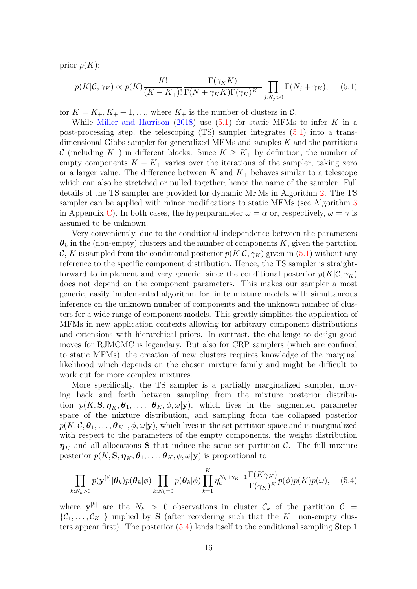prior  $p(K)$ :

<span id="page-15-0"></span>
$$
p(K|\mathcal{C}, \gamma_K) \propto p(K) \frac{K!}{(K - K_+)!} \frac{\Gamma(\gamma_K K)}{\Gamma(N + \gamma_K K) \Gamma(\gamma_K)^{K_+}} \prod_{j: N_j > 0} \Gamma(N_j + \gamma_K), \quad (5.1)
$$

for  $K = K_+, K_+ + 1, \ldots$ , where  $K_+$  is the number of clusters in C.

While [Miller and Harrison](#page-27-1)  $(2018)$  use  $(5.1)$  for static MFMs to infer K in a post-processing step, the telescoping (TS) sampler integrates [\(5.1\)](#page-15-0) into a transdimensional Gibbs sampler for generalized MFMs and samples  $K$  and the partitions C (including  $K_{+}$ ) in different blocks. Since  $K \geq K_{+}$  by definition, the number of empty components  $K - K_+$  varies over the iterations of the sampler, taking zero or a larger value. The difference between K and  $K_{+}$  behaves similar to a telescope which can also be stretched or pulled together; hence the name of the sampler. Full details of the TS sampler are provided for dynamic MFMs in Algorithm [2.](#page-16-0) The TS sampler can be applied with minor modifications to static MFMs (see Algorithm [3](#page-35-0) in Appendix [C\)](#page-33-1). In both cases, the hyperparameter  $\omega = \alpha$  or, respectively,  $\omega = \gamma$  is assumed to be unknown.

Very conveniently, due to the conditional independence between the parameters  $\theta_k$  in the (non-empty) clusters and the number of components K, given the partition C, K is sampled from the conditional posterior  $p(K|\mathcal{C}, \gamma_K)$  given in [\(5.1\)](#page-15-0) without any reference to the specific component distribution. Hence, the TS sampler is straightforward to implement and very generic, since the conditional posterior  $p(K|\mathcal{C}, \gamma_K)$ does not depend on the component parameters. This makes our sampler a most generic, easily implemented algorithm for finite mixture models with simultaneous inference on the unknown number of components and the unknown number of clusters for a wide range of component models. This greatly simplifies the application of MFMs in new application contexts allowing for arbitrary component distributions and extensions with hierarchical priors. In contrast, the challenge to design good moves for RJMCMC is legendary. But also for CRP samplers (which are confined to static MFMs), the creation of new clusters requires knowledge of the marginal likelihood which depends on the chosen mixture family and might be difficult to work out for more complex mixtures.

More specifically, the TS sampler is a partially marginalized sampler, moving back and forth between sampling from the mixture posterior distribution  $p(K, S, \eta_K, \theta_1, \ldots, \theta_K, \phi, \omega | \mathbf{y})$ , which lives in the augmented parameter space of the mixture distribution, and sampling from the collapsed posterior  $p(K,\mathcal{C},\bm{\theta}_1,\dots,\bm{\theta}_{K_+},\phi,\omega|\textbf{y}),$  which lives in the set partition space and is marginalized with respect to the parameters of the empty components, the weight distribution  $\eta_K$  and all allocations S that induce the same set partition C. The full mixture posterior  $p(K, S, \eta_K, \theta_1, \ldots, \theta_K, \phi, \omega | \mathbf{y})$  is proportional to

<span id="page-15-1"></span>
$$
\prod_{k: N_k > 0} p(\mathbf{y}^{[k]}|\boldsymbol{\theta}_k) p(\boldsymbol{\theta}_k|\boldsymbol{\phi}) \prod_{k: N_k = 0} p(\boldsymbol{\theta}_k|\boldsymbol{\phi}) \prod_{k=1}^K \eta_k^{N_k + \gamma_K - 1} \frac{\Gamma(K\gamma_K)}{\Gamma(\gamma_K)^K} p(\boldsymbol{\phi}) p(K) p(\boldsymbol{\omega}), \quad (5.4)
$$

where  $y^{[k]}$  are the  $N_k > 0$  observations in cluster  $\mathcal{C}_k$  of the partition  $\mathcal{C} =$  $\{\mathcal{C}_1,\ldots,\mathcal{C}_{K_+}\}\$  implied by **S** (after reordering such that the  $K_+$  non-empty clusters appear first). The posterior [\(5.4\)](#page-15-1) lends itself to the conditional sampling Step 1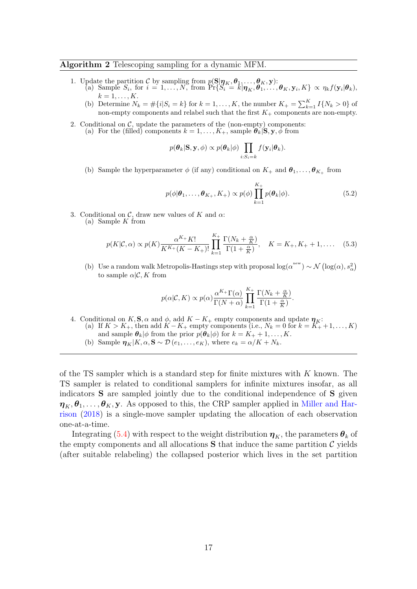#### <span id="page-16-0"></span>Algorithm 2 Telescoping sampling for a dynamic MFM.

- 1. Update the partition C by sampling from  $p(\mathbf{S}|\boldsymbol{\eta}_K,\boldsymbol{\theta}_1,\ldots,\boldsymbol{\theta}_K,\mathbf{y})$ :
	- (a) Sample  $S_i$ , for  $i = 1, ..., N$ , from  $\Pr\{S_i = \bar{k} | \boldsymbol{\eta}_K, \boldsymbol{\theta}_1, ..., \boldsymbol{\theta}_K, \mathbf{y}_i, K\} \propto \eta_k f(\mathbf{y}_i | \boldsymbol{\theta}_k)$ ,  $k=1,\ldots,K$ .
	- (b) Determine  $N_k = \#\{i | S_i = k\}$  for  $k = 1, ..., K$ , the number  $K_+ = \sum_{k=1}^K I\{N_k > 0\}$  of non-empty components and relabel such that the first  $K_{+}$  components are non-empty.
- 2. Conditional on  $C$ , update the parameters of the (non-empty) components: (a) For the (filled) components  $k = 1, \ldots, K_+$ , sample  $\theta_k | S, y, \phi$  from

$$
p(\theta_k|\mathbf{S}, \mathbf{y}, \phi) \propto p(\theta_k|\phi) \prod_{i:S_i=k} f(\mathbf{y}_i|\theta_k).
$$

(b) Sample the hyperparameter  $\phi$  (if any) conditional on  $K_{+}$  and  $\theta_{1}, \ldots, \theta_{K_{+}}$  from

<span id="page-16-1"></span>
$$
p(\phi|\boldsymbol{\theta}_1,\ldots,\boldsymbol{\theta}_{K_+},K_+) \propto p(\phi) \prod_{k=1}^{K_+} p(\boldsymbol{\theta}_k|\phi).
$$
 (5.2)

- 3. Conditional on  $\mathcal{C}$ , draw new values of K and  $\alpha$ :
	- (a) Sample  $K$  from

$$
p(K|\mathcal{C}, \alpha) \propto p(K) \frac{\alpha^{K_{+}} K!}{K^{K_{+}}(K - K_{+})!} \prod_{k=1}^{K_{+}} \frac{\Gamma(N_k + \frac{\alpha}{K})}{\Gamma(1 + \frac{\alpha}{K})}, \quad K = K_{+}, K_{+} + 1, \dots \quad (5.3)
$$

(b) Use a random walk Metropolis-Hastings step with proposal  $\log(\alpha^{\text{new}}) \sim \mathcal{N}(\log(\alpha), s_\alpha^2)$ to sample  $\alpha | \mathcal{C}, K$  from

$$
p(\alpha | \mathcal{C}, K) \propto p(\alpha) \frac{\alpha^{K_{+}} \Gamma(\alpha)}{\Gamma(N + \alpha)} \prod_{k=1}^{K_{+}} \frac{\Gamma(N_{k} + \frac{\alpha}{K})}{\Gamma(1 + \frac{\alpha}{K})}.
$$

- 4. Conditional on K, S,  $\alpha$  and  $\phi$ , add K K<sub>+</sub> empty components and update  $\eta_K$ : (a) If  $K > K_+$ , then add  $K - K_+$  empty components (i.e.,  $N_k = 0$  for  $k = K_+ + 1, \ldots, K$ )
	- and sample  $\theta_k|\phi$  from the prior  $p(\theta_k|\phi)$  for  $k = K_+ + 1, \ldots, K$ .
	- (b) Sample  $\eta_K|K, \alpha, S \sim \mathcal{D}(e_1, \ldots, e_K)$ , where  $e_k = \alpha/K + N_k$ .

of the TS sampler which is a standard step for finite mixtures with K known. The TS sampler is related to conditional samplers for infinite mixtures insofar, as all indicators S are sampled jointly due to the conditional independence of S given  $\eta_K, \theta_1, \ldots, \theta_K, \mathbf{y}$ . As opposed to this, the CRP sampler applied in [Miller and Har](#page-27-1)[rison](#page-27-1) [\(2018\)](#page-27-1) is a single-move sampler updating the allocation of each observation one-at-a-time.

Integrating [\(5.4\)](#page-15-1) with respect to the weight distribution  $\eta_K$ , the parameters  $\theta_k$  of the empty components and all allocations  $S$  that induce the same partition  $C$  yields (after suitable relabeling) the collapsed posterior which lives in the set partition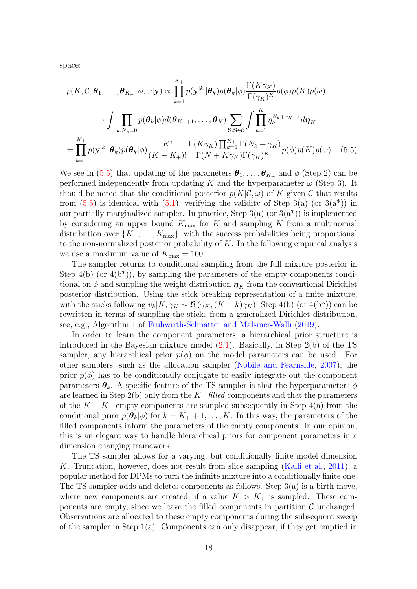space:

$$
p(K, \mathcal{C}, \theta_1, \dots, \theta_{K_+}, \phi, \omega | \mathbf{y}) \propto \prod_{k=1}^{K_+} p(\mathbf{y}^{[k]} | \theta_k) p(\theta_k | \phi) \frac{\Gamma(K \gamma_K)}{\Gamma(\gamma_K)^K} p(\phi) p(K) p(\omega)
$$

$$
\cdot \int \prod_{k: N_k=0} p(\theta_k | \phi) d(\theta_{K_+ + 1}, \dots, \theta_K) \sum_{\mathbf{S}: \mathbf{S} \in \mathcal{C}} \int \prod_{k=1}^K \eta_k^{N_k + \gamma_K - 1} d\eta_K
$$

$$
= \prod_{k=1}^{K_+} p(\mathbf{y}^{[k]} | \theta_k) p(\theta_k | \phi) \frac{K!}{(K - K_+)!} \frac{\Gamma(K \gamma_K) \prod_{k=1}^{K_+} \Gamma(N_k + \gamma_K)}{\Gamma(N + K \gamma_K) \Gamma(\gamma_K)^{K_+}} p(\phi) p(K) p(\omega). \quad (5.5)
$$

<span id="page-17-0"></span>We see in [\(5.5\)](#page-17-0) that updating of the parameters  $\theta_1, \ldots, \theta_{K_+}$  and  $\phi$  (Step 2) can be performed independently from updating K and the hyperparameter  $\omega$  (Step 3). It should be noted that the conditional posterior  $p(K|\mathcal{C}, \omega)$  of K given C that results from  $(5.5)$  is identical with  $(5.1)$ , verifying the validity of Step 3(a) (or  $3(a^*)$ ) in our partially marginalized sampler. In practice, Step  $3(a)$  (or  $3(a^*)$ ) is implemented by considering an upper bound  $K_{\text{max}}$  for K and sampling K from a multinomial distribution over  $\{K_+,\ldots,K_{\max}\}\$ , with the success probabilities being proportional to the non-normalized posterior probability of  $K$ . In the following empirical analysis we use a maximum value of  $K_{\text{max}} = 100$ .

The sampler returns to conditional sampling from the full mixture posterior in Step  $4(b)$  (or  $4(b^*)$ ), by sampling the parameters of the empty components conditional on  $\phi$  and sampling the weight distribution  $\eta_K$  from the conventional Dirichlet posterior distribution. Using the stick breaking representation of a finite mixture, with the sticks following  $v_k|K, \gamma_K \sim \mathcal{B}(\gamma_K, (K - k)\gamma_K)$ , Step 4(b) (or 4(b<sup>\*</sup>)) can be rewritten in terms of sampling the sticks from a generalized Dirichlet distribution, see, e.g., Algorithm 1 of Frühwirth-Schnatter and Malsiner-Walli [\(2019\)](#page-26-2).

In order to learn the component parameters, a hierarchical prior structure is introduced in the Bayesian mixture model [\(2.1\)](#page-3-1). Basically, in Step 2(b) of the TS sampler, any hierarchical prior  $p(\phi)$  on the model parameters can be used. For other samplers, such as the allocation sampler [\(Nobile and Fearnside,](#page-28-8) [2007\)](#page-28-8), the prior  $p(\phi)$  has to be conditionally conjugate to easily integrate out the component parameters  $\theta_k$ . A specific feature of the TS sampler is that the hyperparameters  $\phi$ are learned in Step 2(b) only from the  $K_{+}$  filled components and that the parameters of the  $K - K_+$  empty components are sampled subsequently in Step 4(a) from the conditional prior  $p(\theta_k|\phi)$  for  $k = K_+ + 1, \ldots, K$ . In this way, the parameters of the filled components inform the parameters of the empty components. In our opinion, this is an elegant way to handle hierarchical priors for component parameters in a dimension changing framework.

The TS sampler allows for a varying, but conditionally finite model dimension K. Truncation, however, does not result from slice sampling [\(Kalli et al.,](#page-27-12) [2011\)](#page-27-12), a popular method for DPMs to turn the infinite mixture into a conditionally finite one. The TS sampler adds and deletes components as follows. Step 3(a) is a birth move, where new components are created, if a value  $K > K_{+}$  is sampled. These components are empty, since we leave the filled components in partition  $\mathcal C$  unchanged. Observations are allocated to these empty components during the subsequent sweep of the sampler in Step 1(a). Components can only disappear, if they get emptied in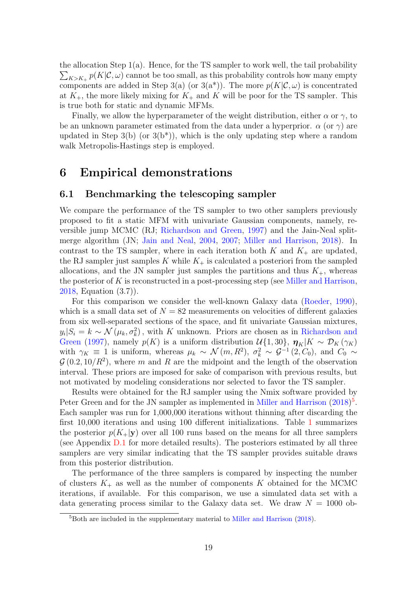the allocation Step 1(a). Hence, for the TS sampler to work well, the tail probability  $\sum_{K>K+} p(K|C, \omega)$  cannot be too small, as this probability controls how many empty components are added in Step 3(a) (or 3(a<sup>\*</sup>)). The more  $p(K|\mathcal{C}, \omega)$  is concentrated at  $K_{+}$ , the more likely mixing for  $K_{+}$  and K will be poor for the TS sampler. This is true both for static and dynamic MFMs.

Finally, we allow the hyperparameter of the weight distribution, either  $\alpha$  or  $\gamma$ , to be an unknown parameter estimated from the data under a hyperprior.  $\alpha$  (or  $\gamma$ ) are updated in Step 3(b) (or  $3(b^*)$ ), which is the only updating step where a random walk Metropolis-Hastings step is employed.

# <span id="page-18-0"></span>6 Empirical demonstrations

### <span id="page-18-2"></span>6.1 Benchmarking the telescoping sampler

We compare the performance of the TS sampler to two other samplers previously proposed to fit a static MFM with univariate Gaussian components, namely, reversible jump MCMC (RJ; [Richardson and Green,](#page-28-0) [1997\)](#page-28-0) and the Jain-Neal splitmerge algorithm (JN; [Jain and Neal,](#page-27-5) [2004,](#page-27-5) [2007;](#page-27-6) [Miller and Harrison,](#page-27-1) [2018\)](#page-27-1). In contrast to the TS sampler, where in each iteration both  $K$  and  $K_{+}$  are updated, the RJ sampler just samples K while  $K_{+}$  is calculated a posteriori from the sampled allocations, and the JN sampler just samples the partitions and thus  $K_{+}$ , whereas the posterior of K is reconstructed in a post-processing step (see [Miller and Harrison,](#page-27-1) [2018,](#page-27-1) Equation (3.7)).

For this comparison we consider the well-known Galaxy data [\(Roeder,](#page-28-10) [1990\)](#page-28-10), which is a small data set of  $N = 82$  measurements on velocities of different galaxies from six well-separated sections of the space, and fit univariate Gaussian mixtures,  $y_i|S_i = k \sim \mathcal{N}(\mu_k, \sigma_k^2)$ , with K unknown. Priors are chosen as in [Richardson and](#page-28-0) [Green](#page-28-0) [\(1997\)](#page-28-0), namely  $p(K)$  is a uniform distribution  $\mathcal{U}{1, 30}$ ,  $\mathbf{\eta}_K|K \sim \mathcal{D}_K(\gamma_K)$ with  $\gamma_K \equiv 1$  is uniform, whereas  $\mu_k \sim \mathcal{N}(m, R^2)$ ,  $\sigma_k^2 \sim \mathcal{G}^{-1}(2, C_0)$ , and  $C_0 \sim$  $\mathcal{G}(0.2, 10/R^2)$ , where m and R are the midpoint and the length of the observation interval. These priors are imposed for sake of comparison with previous results, but not motivated by modeling considerations nor selected to favor the TS sampler.

Results were obtained for the RJ sampler using the Nmix software provided by Peter Green and for the JN sampler as implemented in [Miller and Harrison](#page-27-1)  $(2018)^5$  $(2018)^5$  $(2018)^5$ . Each sampler was run for 1,000,000 iterations without thinning after discarding the first 10,000 iterations and using 100 different initializations. Table [1](#page-19-0) summarizes the posterior  $p(K_{+}|y)$  over all 100 runs based on the means for all three samplers (see Appendix [D.1](#page-35-1) for more detailed results). The posteriors estimated by all three samplers are very similar indicating that the TS sampler provides suitable draws from this posterior distribution.

The performance of the three samplers is compared by inspecting the number of clusters  $K_{+}$  as well as the number of components K obtained for the MCMC iterations, if available. For this comparison, we use a simulated data set with a data generating process similar to the Galaxy data set. We draw  $N = 1000$  ob-

<span id="page-18-1"></span><sup>&</sup>lt;sup>5</sup>Both are included in the supplementary material to [Miller and Harrison](#page-27-1) [\(2018\)](#page-27-1).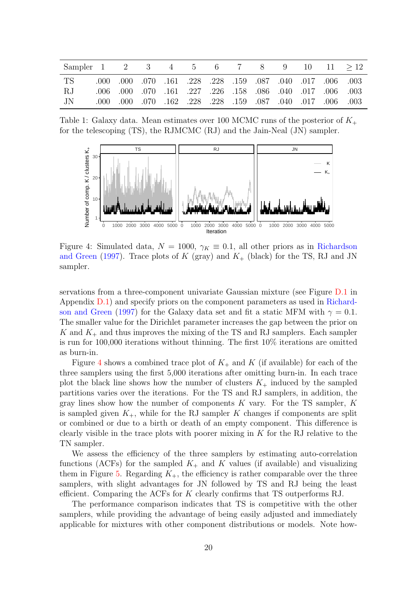<span id="page-19-0"></span>

| Sampler 1 2 3 4 5 6 7 8 9 10 11 $>12$ |                                                                 |  |  |  |  |  |
|---------------------------------------|-----------------------------------------------------------------|--|--|--|--|--|
| TS                                    | 003. 006. 017. 010 031. 087. 028. 228. 228. 040. 050. 000. 000. |  |  |  |  |  |
| -R.J                                  | .006 .006 .007 .007 .027 .226 .058 .086 .040 .017 .006 .003     |  |  |  |  |  |
| .IN                                   | .000 .000 .070 .162 .228 .228 .159 .087 .040 .017 .006 .003     |  |  |  |  |  |

Table 1: Galaxy data. Mean estimates over 100 MCMC runs of the posterior of  $K_{+}$ for the telescoping (TS), the RJMCMC (RJ) and the Jain-Neal (JN) sampler.

<span id="page-19-1"></span>

Figure 4: Simulated data,  $N = 1000$ ,  $\gamma_K \equiv 0.1$ , all other priors as in [Richardson](#page-28-0) [and Green](#page-28-0) [\(1997\)](#page-28-0). Trace plots of K (gray) and  $K_{+}$  (black) for the TS, RJ and JN sampler.

servations from a three-component univariate Gaussian mixture (see Figure [D.1](#page-37-0) in Appendix [D.1\)](#page-35-1) and specify priors on the component parameters as used in [Richard](#page-28-0)[son and Green](#page-28-0) [\(1997\)](#page-28-0) for the Galaxy data set and fit a static MFM with  $\gamma = 0.1$ . The smaller value for the Dirichlet parameter increases the gap between the prior on K and  $K_{+}$  and thus improves the mixing of the TS and RJ samplers. Each sampler is run for 100,000 iterations without thinning. The first 10% iterations are omitted as burn-in.

Figure [4](#page-19-1) shows a combined trace plot of  $K_{+}$  and K (if available) for each of the three samplers using the first 5,000 iterations after omitting burn-in. In each trace plot the black line shows how the number of clusters  $K_{+}$  induced by the sampled partitions varies over the iterations. For the TS and RJ samplers, in addition, the gray lines show how the number of components  $K$  vary. For the TS sampler,  $K$ is sampled given  $K_{+}$ , while for the RJ sampler K changes if components are split or combined or due to a birth or death of an empty component. This difference is clearly visible in the trace plots with poorer mixing in  $K$  for the RJ relative to the TN sampler.

We assess the efficiency of the three samplers by estimating auto-correlation functions (ACFs) for the sampled  $K_{+}$  and K values (if available) and visualizing them in Figure [5.](#page-20-1) Regarding  $K_{+}$ , the efficiency is rather comparable over the three samplers, with slight advantages for JN followed by TS and RJ being the least efficient. Comparing the ACFs for K clearly confirms that TS outperforms RJ.

The performance comparison indicates that TS is competitive with the other samplers, while providing the advantage of being easily adjusted and immediately applicable for mixtures with other component distributions or models. Note how-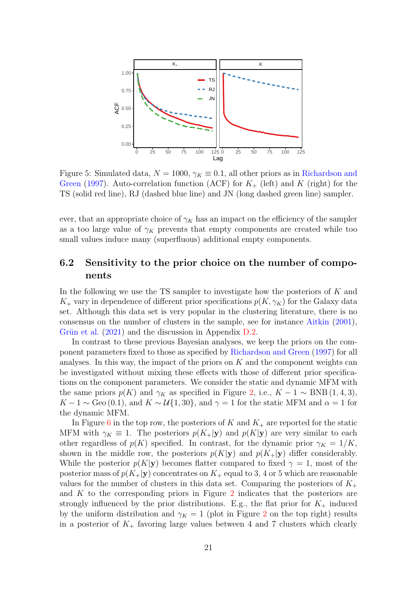<span id="page-20-1"></span>

Figure 5: Simulated data,  $N = 1000$ ,  $\gamma_K \equiv 0.1$ , all other priors as in [Richardson and](#page-28-0) [Green](#page-28-0) [\(1997\)](#page-28-0). Auto-correlation function (ACF) for  $K_{+}$  (left) and K (right) for the TS (solid red line), RJ (dashed blue line) and JN (long dashed green line) sampler.

ever, that an appropriate choice of  $\gamma_K$  has an impact on the efficiency of the sampler as a too large value of  $\gamma_K$  prevents that empty components are created while too small values induce many (superfluous) additional empty components.

### <span id="page-20-0"></span>6.2 Sensitivity to the prior choice on the number of components

In the following we use the TS sampler to investigate how the posteriors of  $K$  and  $K_{+}$  vary in dependence of different prior specifications  $p(K, \gamma_K)$  for the Galaxy data set. Although this data set is very popular in the clustering literature, there is no consensus on the number of clusters in the sample, see for instance [Aitkin](#page-25-3) [\(2001\)](#page-25-3), Grün et al.  $(2021)$  and the discussion in Appendix [D.2.](#page-37-1)

In contrast to these previous Bayesian analyses, we keep the priors on the component parameters fixed to those as specified by [Richardson and Green](#page-28-0) [\(1997\)](#page-28-0) for all analyses. In this way, the impact of the priors on  $K$  and the component weights can be investigated without mixing these effects with those of different prior specifications on the component parameters. We consider the static and dynamic MFM with the same priors  $p(K)$  and  $\gamma_K$  as specified in Figure [2,](#page-10-1) i.e.,  $K - 1 \sim \text{BNB} (1, 4, 3)$ ,  $K-1 \sim$  Geo (0.1), and  $K \sim \mathcal{U}{1,30}$ , and  $\gamma = 1$  for the static MFM and  $\alpha = 1$  for the dynamic MFM.

In Figure [6](#page-21-0) in the top row, the posteriors of K and  $K_{+}$  are reported for the static MFM with  $\gamma_K \equiv 1$ . The posteriors  $p(K_+|\mathbf{y})$  and  $p(K|\mathbf{y})$  are very similar to each other regardless of  $p(K)$  specified. In contrast, for the dynamic prior  $\gamma_K = 1/K$ , shown in the middle row, the posteriors  $p(K|\mathbf{y})$  and  $p(K_+|\mathbf{y})$  differ considerably. While the posterior  $p(K|\mathbf{y})$  becomes flatter compared to fixed  $\gamma = 1$ , most of the posterior mass of  $p(K_{+}|y)$  concentrates on  $K_{+}$  equal to 3, 4 or 5 which are reasonable values for the number of clusters in this data set. Comparing the posteriors of  $K_{+}$ and K to the corresponding priors in Figure [2](#page-10-1) indicates that the posteriors are strongly influenced by the prior distributions. E.g., the flat prior for  $K_{+}$  induced by the uniform distribution and  $\gamma_K = 1$  (plot in Figure [2](#page-10-1) on the top right) results in a posterior of  $K_{+}$  favoring large values between 4 and 7 clusters which clearly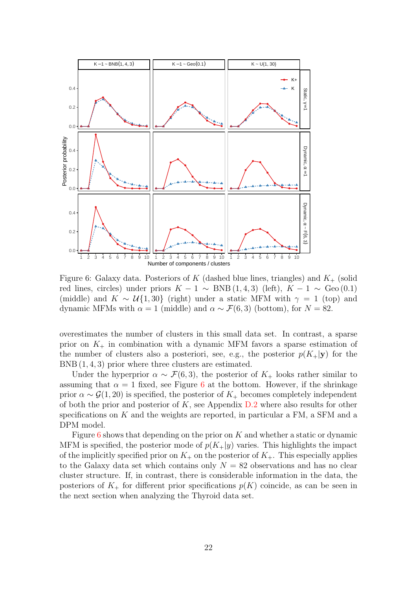<span id="page-21-0"></span>

Figure 6: Galaxy data. Posteriors of K (dashed blue lines, triangles) and  $K_{+}$  (solid red lines, circles) under priors  $K - 1 \sim BNB(1, 4, 3)$  (left),  $K - 1 \sim$  Geo (0.1) (middle) and  $K \sim \mathcal{U}{1,30}$  (right) under a static MFM with  $\gamma = 1$  (top) and dynamic MFMs with  $\alpha = 1$  (middle) and  $\alpha \sim \mathcal{F}(6, 3)$  (bottom), for  $N = 82$ .

overestimates the number of clusters in this small data set. In contrast, a sparse prior on  $K_{+}$  in combination with a dynamic MFM favors a sparse estimation of the number of clusters also a posteriori, see, e.g., the posterior  $p(K_{+}|y)$  for the BNB (1, 4, 3) prior where three clusters are estimated.

Under the hyperprior  $\alpha \sim \mathcal{F}(6, 3)$ , the posterior of  $K_{+}$  looks rather similar to assuming that  $\alpha = 1$  fixed, see Figure [6](#page-21-0) at the bottom. However, if the shrinkage prior  $\alpha \sim \mathcal{G}(1, 20)$  is specified, the posterior of  $K_+$  becomes completely independent of both the prior and posterior of  $K$ , see Appendix  $D.2$  where also results for other specifications on  $K$  and the weights are reported, in particular a FM, a SFM and a DPM model.

Figure [6](#page-21-0) shows that depending on the prior on  $K$  and whether a static or dynamic MFM is specified, the posterior mode of  $p(K_{+}|y)$  varies. This highlights the impact of the implicitly specified prior on  $K_{+}$  on the posterior of  $K_{+}$ . This especially applies to the Galaxy data set which contains only  $N = 82$  observations and has no clear cluster structure. If, in contrast, there is considerable information in the data, the posteriors of  $K_{+}$  for different prior specifications  $p(K)$  coincide, as can be seen in the next section when analyzing the Thyroid data set.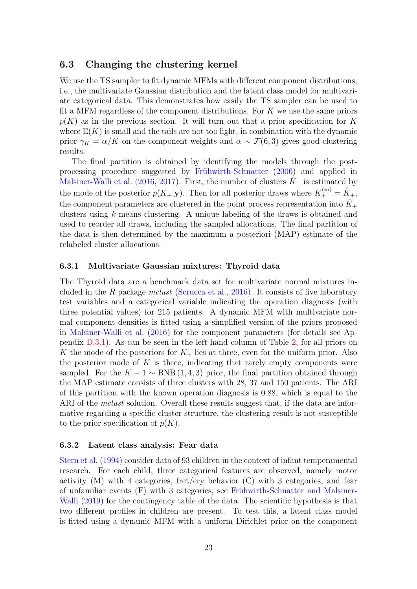### 6.3 Changing the clustering kernel

We use the TS sampler to fit dynamic MFMs with different component distributions, i.e., the multivariate Gaussian distribution and the latent class model for multivariate categorical data. This demonstrates how easily the TS sampler can be used to fit a MFM regardless of the component distributions. For  $K$  we use the same priors  $p(K)$  as in the previous section. It will turn out that a prior specification for K where  $E(K)$  is small and the tails are not too light, in combination with the dynamic prior  $\gamma_K = \alpha/K$  on the component weights and  $\alpha \sim \mathcal{F}(6,3)$  gives good clustering results.

The final partition is obtained by identifying the models through the post-processing procedure suggested by Frühwirth-Schnatter [\(2006\)](#page-26-14) and applied in [Malsiner-Walli et al.](#page-27-3) [\(2016,](#page-27-3) [2017\)](#page-27-4). First, the number of clusters  $\hat{K}_+$  is estimated by the mode of the posterior  $p(K_{+}|\mathbf{y})$ . Then for all posterior draws where  $K_{+}^{(m)} = \hat{K}_{+}$ , the component parameters are clustered in the point process representation into  $\hat{K}_{+}$ clusters using k-means clustering. A unique labeling of the draws is obtained and used to reorder all draws, including the sampled allocations. The final partition of the data is then determined by the maximum a posteriori (MAP) estimate of the relabeled cluster allocations.

#### <span id="page-22-0"></span>6.3.1 Multivariate Gaussian mixtures: Thyroid data

The Thyroid data are a benchmark data set for multivariate normal mixtures in-cluded in the R package mclust [\(Scrucca et al.,](#page-28-11) [2016\)](#page-28-11). It consists of five laboratory test variables and a categorical variable indicating the operation diagnosis (with three potential values) for 215 patients. A dynamic MFM with multivariate normal component densities is fitted using a simplified version of the priors proposed in [Malsiner-Walli et al.](#page-27-3) [\(2016\)](#page-27-3) for the component parameters (for details see Appendix [D.3.1\)](#page-39-0). As can be seen in the left-hand column of Table [2,](#page-23-0) for all priors on K the mode of the posteriors for  $K_{+}$  lies at three, even for the uniform prior. Also the posterior mode of  $K$  is three, indicating that rarely empty components were sampled. For the  $K - 1 \sim BNB(1, 4, 3)$  prior, the final partition obtained through the MAP estimate consists of three clusters with 28, 37 and 150 patients. The ARI of this partition with the known operation diagnosis is 0.88, which is equal to the ARI of the *mclust* solution. Overall these results suggest that, if the data are informative regarding a specific cluster structure, the clustering result is not susceptible to the prior specification of  $p(K)$ .

#### 6.3.2 Latent class analysis: Fear data

[Stern et al.](#page-28-12) [\(1994\)](#page-28-12) consider data of 93 children in the context of infant temperamental research. For each child, three categorical features are observed, namely motor activity  $(M)$  with 4 categories, fret/cry behavior  $(C)$  with 3 categories, and fear of unfamiliar events  $(F)$  with 3 categories, see Frühwirth-Schnatter and Malsiner-[Walli](#page-26-2) [\(2019\)](#page-26-2) for the contingency table of the data. The scientific hypothesis is that two different profiles in children are present. To test this, a latent class model is fitted using a dynamic MFM with a uniform Dirichlet prior on the component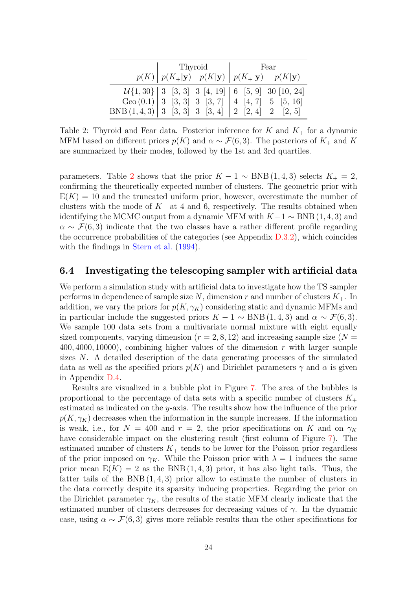<span id="page-23-0"></span>

|                                                       | Thyroid                                                                                | Fear |                                                                 |  |  |
|-------------------------------------------------------|----------------------------------------------------------------------------------------|------|-----------------------------------------------------------------|--|--|
|                                                       | $p(K)   p(K_{+} \mathbf{y})$ $p(K \mathbf{y})   p(K_{+} \mathbf{y})$ $p(K \mathbf{y})$ |      |                                                                 |  |  |
|                                                       |                                                                                        |      | $\mathcal{U}{1,30}$   3 [3, 3] 3 [4, 19]   6 [5, 9] 30 [10, 24] |  |  |
|                                                       |                                                                                        |      | Geo $(0.1)$ 3 [3, 3] 3 [3, 7] 4 [4, 7] 5 [5, 16]                |  |  |
| BNB $(1,4,3)$ 3 $[3,3]$ 3 $[3,4]$ 2 $[2,4]$ 2 $[2,5]$ |                                                                                        |      |                                                                 |  |  |

Table 2: Thyroid and Fear data. Posterior inference for  $K$  and  $K_{+}$  for a dynamic MFM based on different priors  $p(K)$  and  $\alpha \sim \mathcal{F}(6, 3)$ . The posteriors of  $K_{+}$  and K are summarized by their modes, followed by the 1st and 3rd quartiles.

parameters. Table [2](#page-23-0) shows that the prior  $K - 1 \sim BNB(1, 4, 3)$  selects  $K_{+} = 2$ , confirming the theoretically expected number of clusters. The geometric prior with  $E(K) = 10$  and the truncated uniform prior, however, overestimate the number of clusters with the mode of  $K_{+}$  at 4 and 6, respectively. The results obtained when identifying the MCMC output from a dynamic MFM with  $K-1 \sim BNB(1, 4, 3)$  and  $\alpha \sim \mathcal{F}(6,3)$  indicate that the two classes have a rather different profile regarding the occurrence probabilities of the categories (see Appendix [D.3.2\)](#page-40-0), which coincides with the findings in [Stern et al.](#page-28-12) [\(1994\)](#page-28-12).

### <span id="page-23-1"></span>6.4 Investigating the telescoping sampler with artificial data

We perform a simulation study with artificial data to investigate how the TS sampler performs in dependence of sample size N, dimension r and number of clusters  $K_{+}$ . In addition, we vary the priors for  $p(K, \gamma_K)$  considering static and dynamic MFMs and in particular include the suggested priors  $K - 1 \sim BNB(1, 4, 3)$  and  $\alpha \sim \mathcal{F}(6, 3)$ . We sample 100 data sets from a multivariate normal mixture with eight equally sized components, varying dimension ( $r = 2, 8, 12$ ) and increasing sample size ( $N =$  $400, 4000, 10000$ , combining higher values of the dimension r with larger sample sizes N. A detailed description of the data generating processes of the simulated data as well as the specified priors  $p(K)$  and Dirichlet parameters  $\gamma$  and  $\alpha$  is given in Appendix [D.4.](#page-40-1)

Results are visualized in a bubble plot in Figure [7.](#page-24-0) The area of the bubbles is proportional to the percentage of data sets with a specific number of clusters  $K_{+}$ estimated as indicated on the y-axis. The results show how the influence of the prior  $p(K, \gamma_K)$  decreases when the information in the sample increases. If the information is weak, i.e., for  $N = 400$  and  $r = 2$ , the prior specifications on K and on  $\gamma_K$ have considerable impact on the clustering result (first column of Figure [7\)](#page-24-0). The estimated number of clusters  $K_{+}$  tends to be lower for the Poisson prior regardless of the prior imposed on  $\gamma_K$ . While the Poisson prior with  $\lambda = 1$  induces the same prior mean  $E(K) = 2$  as the BNB (1, 4, 3) prior, it has also light tails. Thus, the fatter tails of the BNB  $(1, 4, 3)$  prior allow to estimate the number of clusters in the data correctly despite its sparsity inducing properties. Regarding the prior on the Dirichlet parameter  $\gamma_K$ , the results of the static MFM clearly indicate that the estimated number of clusters decreases for decreasing values of  $\gamma$ . In the dynamic case, using  $\alpha \sim \mathcal{F}(6,3)$  gives more reliable results than the other specifications for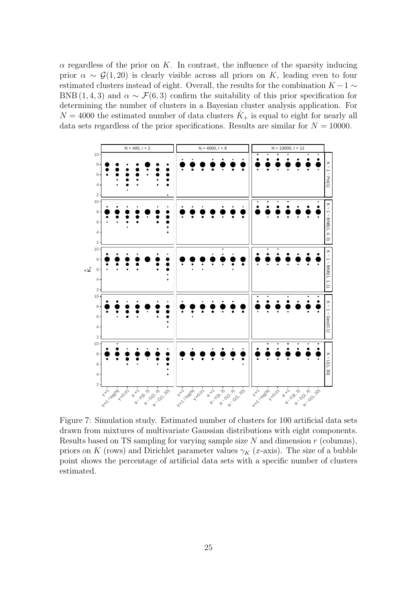$\alpha$  regardless of the prior on K. In contrast, the influence of the sparsity inducing prior  $\alpha \sim \mathcal{G}(1, 20)$  is clearly visible across all priors on K, leading even to four estimated clusters instead of eight. Overall, the results for the combination  $K - 1 \sim$ BNB (1, 4, 3) and  $\alpha \sim \mathcal{F}(6, 3)$  confirm the suitability of this prior specification for determining the number of clusters in a Bayesian cluster analysis application. For  $N = 4000$  the estimated number of data clusters  $\tilde{K}_+$  is equal to eight for nearly all data sets regardless of the prior specifications. Results are similar for  $N = 10000$ .

<span id="page-24-0"></span>

Figure 7: Simulation study. Estimated number of clusters for 100 artificial data sets drawn from mixtures of multivariate Gaussian distributions with eight components. Results based on TS sampling for varying sample size  $N$  and dimension  $r$  (columns), priors on K (rows) and Dirichlet parameter values  $\gamma_K$  (x-axis). The size of a bubble point shows the percentage of artificial data sets with a specific number of clusters estimated.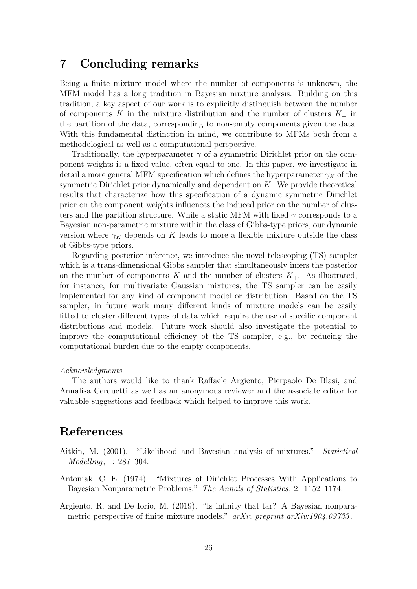# <span id="page-25-2"></span>7 Concluding remarks

Being a finite mixture model where the number of components is unknown, the MFM model has a long tradition in Bayesian mixture analysis. Building on this tradition, a key aspect of our work is to explicitly distinguish between the number of components K in the mixture distribution and the number of clusters  $K_{+}$  in the partition of the data, corresponding to non-empty components given the data. With this fundamental distinction in mind, we contribute to MFMs both from a methodological as well as a computational perspective.

Traditionally, the hyperparameter  $\gamma$  of a symmetric Dirichlet prior on the component weights is a fixed value, often equal to one. In this paper, we investigate in detail a more general MFM specification which defines the hyperparameter  $\gamma_K$  of the symmetric Dirichlet prior dynamically and dependent on  $K$ . We provide theoretical results that characterize how this specification of a dynamic symmetric Dirichlet prior on the component weights influences the induced prior on the number of clusters and the partition structure. While a static MFM with fixed  $\gamma$  corresponds to a Bayesian non-parametric mixture within the class of Gibbs-type priors, our dynamic version where  $\gamma_K$  depends on K leads to more a flexible mixture outside the class of Gibbs-type priors.

Regarding posterior inference, we introduce the novel telescoping (TS) sampler which is a trans-dimensional Gibbs sampler that simultaneously infers the posterior on the number of components K and the number of clusters  $K_{+}$ . As illustrated, for instance, for multivariate Gaussian mixtures, the TS sampler can be easily implemented for any kind of component model or distribution. Based on the TS sampler, in future work many different kinds of mixture models can be easily fitted to cluster different types of data which require the use of specific component distributions and models. Future work should also investigate the potential to improve the computational efficiency of the TS sampler, e.g., by reducing the computational burden due to the empty components.

#### Acknowledgments

The authors would like to thank Raffaele Argiento, Pierpaolo De Blasi, and Annalisa Cerquetti as well as an anonymous reviewer and the associate editor for valuable suggestions and feedback which helped to improve this work.

# References

- <span id="page-25-3"></span>Aitkin, M. (2001). "Likelihood and Bayesian analysis of mixtures." Statistical Modelling, 1: 287–304.
- <span id="page-25-1"></span>Antoniak, C. E. (1974). "Mixtures of Dirichlet Processes With Applications to Bayesian Nonparametric Problems." The Annals of Statistics, 2: 1152–1174.
- <span id="page-25-0"></span>Argiento, R. and De Iorio, M. (2019). "Is infinity that far? A Bayesian nonparametric perspective of finite mixture models." arXiv preprint arXiv:1904.09733.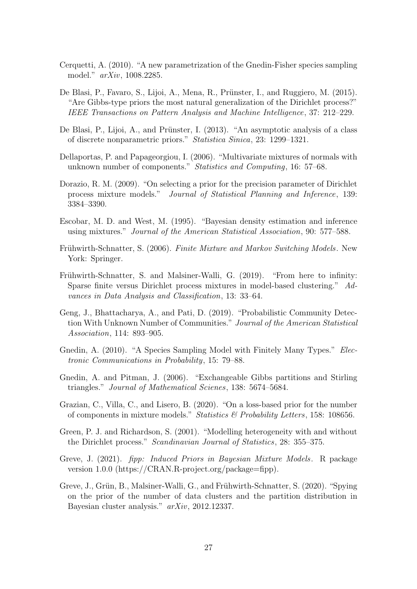- <span id="page-26-4"></span>Cerquetti, A. (2010). "A new parametrization of the Gnedin-Fisher species sampling model." arXiv, 1008.2285.
- <span id="page-26-1"></span>De Blasi, P., Favaro, S., Lijoi, A., Mena, R., Prünster, I., and Ruggiero, M. (2015). "Are Gibbs-type priors the most natural generalization of the Dirichlet process?" IEEE Transactions on Pattern Analysis and Machine Intelligence, 37: 212–229.
- <span id="page-26-8"></span>De Blasi, P., Lijoi, A., and Prünster, I. (2013). "An asymptotic analysis of a class of discrete nonparametric priors." Statistica Sinica, 23: 1299–1321.
- <span id="page-26-6"></span>Dellaportas, P. and Papageorgiou, I. (2006). "Multivariate mixtures of normals with unknown number of components." Statistics and Computing, 16: 57–68.
- <span id="page-26-13"></span>Dorazio, R. M. (2009). "On selecting a prior for the precision parameter of Dirichlet process mixture models." Journal of Statistical Planning and Inference, 139: 3384–3390.
- <span id="page-26-12"></span>Escobar, M. D. and West, M. (1995). "Bayesian density estimation and inference using mixtures." Journal of the American Statistical Association, 90: 577–588.
- <span id="page-26-14"></span>Frühwirth-Schnatter, S. (2006). Finite Mixture and Markov Switching Models. New York: Springer.
- <span id="page-26-2"></span>Frühwirth-Schnatter, S. and Malsiner-Walli, G. (2019). "From here to infinity: Sparse finite versus Dirichlet process mixtures in model-based clustering." Advances in Data Analysis and Classification, 13: 33–64.
- <span id="page-26-0"></span>Geng, J., Bhattacharya, A., and Pati, D. (2019). "Probabilistic Community Detection With Unknown Number of Communities." Journal of the American Statistical Association, 114: 893–905.
- <span id="page-26-7"></span>Gnedin, A. (2010). "A Species Sampling Model with Finitely Many Types." *Elec*tronic Communications in Probability, 15: 79–88.
- <span id="page-26-3"></span>Gnedin, A. and Pitman, J. (2006). "Exchangeable Gibbs partitions and Stirling triangles." Journal of Mathematical Scienes, 138: 5674–5684.
- <span id="page-26-5"></span>Grazian, C., Villa, C., and Lisero, B. (2020). "On a loss-based prior for the number of components in mixture models." Statistics  $\mathcal B$  Probability Letters, 158: 108656.
- <span id="page-26-11"></span>Green, P. J. and Richardson, S. (2001). "Modelling heterogeneity with and without the Dirichlet process." Scandinavian Journal of Statistics, 28: 355–375.
- <span id="page-26-10"></span>Greve, J. (2021). fipp: Induced Priors in Bayesian Mixture Models. R package version 1.0.0 (https://CRAN.R-project.org/package=fipp).
- <span id="page-26-9"></span>Greve, J., Grün, B., Malsiner-Walli, G., and Frühwirth-Schnatter, S. (2020). "Spying on the prior of the number of data clusters and the partition distribution in Bayesian cluster analysis." arXiv, 2012.12337.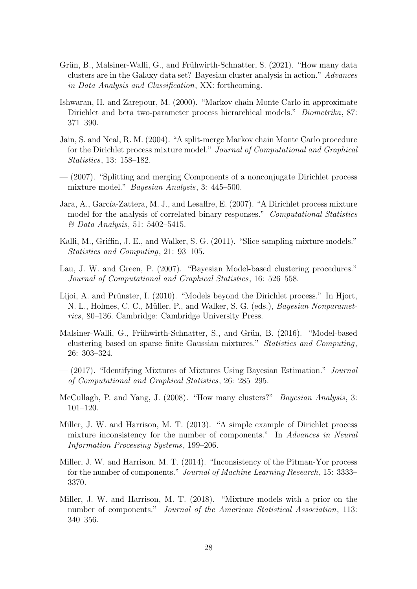- <span id="page-27-13"></span>Grün, B., Malsiner-Walli, G., and Frühwirth-Schnatter, S. (2021). "How many data clusters are in the Galaxy data set? Bayesian cluster analysis in action." Advances in Data Analysis and Classification, XX: forthcoming.
- <span id="page-27-9"></span>Ishwaran, H. and Zarepour, M. (2000). "Markov chain Monte Carlo in approximate Dirichlet and beta two-parameter process hierarchical models." Biometrika, 87: 371–390.
- <span id="page-27-5"></span>Jain, S. and Neal, R. M. (2004). "A split-merge Markov chain Monte Carlo procedure for the Dirichlet process mixture model." Journal of Computational and Graphical Statistics, 13: 158–182.
- <span id="page-27-6"></span>— (2007). "Splitting and merging Components of a nonconjugate Dirichlet process mixture model." Bayesian Analysis, 3: 445–500.
- <span id="page-27-11"></span>Jara, A., García-Zattera, M. J., and Lesaffre, E. (2007). "A Dirichlet process mixture model for the analysis of correlated binary responses." Computational Statistics & Data Analysis, 51: 5402–5415.
- <span id="page-27-12"></span>Kalli, M., Griffin, J. E., and Walker, S. G. (2011). "Slice sampling mixture models." Statistics and Computing, 21: 93–105.
- <span id="page-27-7"></span>Lau, J. W. and Green, P. (2007). "Bayesian Model-based clustering procedures." Journal of Computational and Graphical Statistics, 16: 526–558.
- <span id="page-27-8"></span>Lijoi, A. and Prünster, I.  $(2010)$ . "Models beyond the Dirichlet process." In Hjort, N. L., Holmes, C. C., Müller, P., and Walker, S. G. (eds.), *Bayesian Nonparamet*rics, 80–136. Cambridge: Cambridge University Press.
- <span id="page-27-3"></span>Malsiner-Walli, G., Frühwirth-Schnatter, S., and Grün, B. (2016). "Model-based clustering based on sparse finite Gaussian mixtures." Statistics and Computing, 26: 303–324.
- <span id="page-27-4"></span>— (2017). "Identifying Mixtures of Mixtures Using Bayesian Estimation." Journal of Computational and Graphical Statistics, 26: 285–295.
- <span id="page-27-0"></span>McCullagh, P. and Yang, J. (2008). "How many clusters?" Bayesian Analysis, 3: 101–120.
- <span id="page-27-2"></span>Miller, J. W. and Harrison, M. T. (2013). "A simple example of Dirichlet process mixture inconsistency for the number of components." In Advances in Neural Information Processing Systems, 199–206.
- <span id="page-27-10"></span>Miller, J. W. and Harrison, M. T. (2014). "Inconsistency of the Pitman-Yor process for the number of components." Journal of Machine Learning Research, 15: 3333– 3370.
- <span id="page-27-1"></span>Miller, J. W. and Harrison, M. T. (2018). "Mixture models with a prior on the number of components." Journal of the American Statistical Association, 113: 340–356.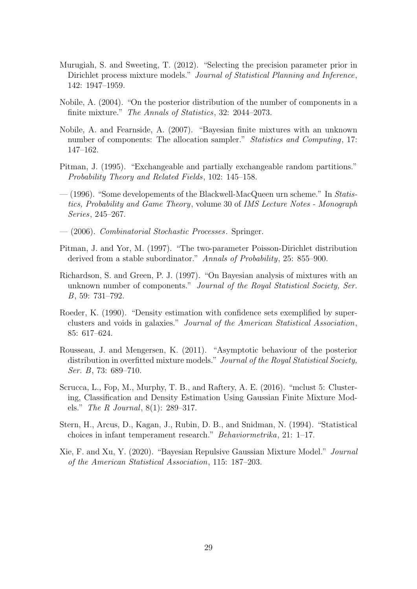- <span id="page-28-9"></span>Murugiah, S. and Sweeting, T. (2012). "Selecting the precision parameter prior in Dirichlet process mixture models." Journal of Statistical Planning and Inference, 142: 1947–1959.
- <span id="page-28-1"></span>Nobile, A. (2004). "On the posterior distribution of the number of components in a finite mixture." The Annals of Statistics, 32: 2044–2073.
- <span id="page-28-8"></span>Nobile, A. and Fearnside, A. (2007). "Bayesian finite mixtures with an unknown number of components: The allocation sampler." *Statistics and Computing*, 17: 147–162.
- <span id="page-28-5"></span>Pitman, J. (1995). "Exchangeable and partially exchangeable random partitions." Probability Theory and Related Fields, 102: 145–158.
- <span id="page-28-7"></span> $-$  (1996). "Some developements of the Blackwell-MacQueen urn scheme." In Statistics, Probability and Game Theory, volume 30 of IMS Lecture Notes - Monograph Series, 245–267.
- <span id="page-28-6"></span>— (2006). Combinatorial Stochastic Processes. Springer.
- <span id="page-28-3"></span>Pitman, J. and Yor, M. (1997). "The two-parameter Poisson-Dirichlet distribution derived from a stable subordinator." Annals of Probability, 25: 855–900.
- <span id="page-28-0"></span>Richardson, S. and Green, P. J. (1997). "On Bayesian analysis of mixtures with an unknown number of components." Journal of the Royal Statistical Society, Ser. B, 59: 731–792.
- <span id="page-28-10"></span>Roeder, K. (1990). "Density estimation with confidence sets exemplified by superclusters and voids in galaxies." Journal of the American Statistical Association, 85: 617–624.
- <span id="page-28-4"></span>Rousseau, J. and Mengersen, K. (2011). "Asymptotic behaviour of the posterior distribution in overfitted mixture models." Journal of the Royal Statistical Society, Ser. B, 73: 689–710.
- <span id="page-28-11"></span>Scrucca, L., Fop, M., Murphy, T. B., and Raftery, A. E. (2016). "mclust 5: Clustering, Classification and Density Estimation Using Gaussian Finite Mixture Models." The R Journal, 8(1): 289–317.
- <span id="page-28-12"></span>Stern, H., Arcus, D., Kagan, J., Rubin, D. B., and Snidman, N. (1994). "Statistical choices in infant temperament research." Behaviormetrika, 21: 1–17.
- <span id="page-28-2"></span>Xie, F. and Xu, Y. (2020). "Bayesian Repulsive Gaussian Mixture Model." Journal of the American Statistical Association, 115: 187–203.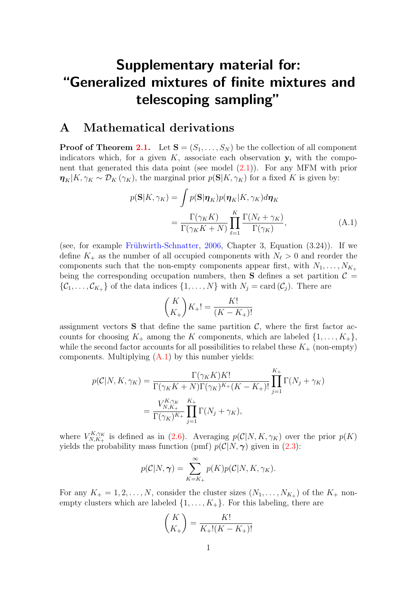# Supplementary material for: "Generalized mixtures of finite mixtures and telescoping sampling"

# <span id="page-29-0"></span>A Mathematical derivations

**Proof of Theorem [2.1.](#page-4-2)** Let  $S = (S_1, \ldots, S_N)$  be the collection of all component indicators which, for a given K, associate each observation  $y_i$  with the component that generated this data point (see model [\(2.1\)](#page-3-1)). For any MFM with prior  $\eta_K|K, \gamma_K \sim \mathcal{D}_K(\gamma_K)$ , the marginal prior  $p(\mathbf{S}|K, \gamma_K)$  for a fixed K is given by:

$$
p(\mathbf{S}|K,\gamma_K) = \int p(\mathbf{S}|\boldsymbol{\eta}_K)p(\boldsymbol{\eta}_K|K,\gamma_K)d\boldsymbol{\eta}_K
$$

$$
= \frac{\Gamma(\gamma_K K)}{\Gamma(\gamma_K K + N)} \prod_{\ell=1}^K \frac{\Gamma(N_\ell + \gamma_K)}{\Gamma(\gamma_K)}, \tag{A.1}
$$

(see, for example Frühwirth-Schnatter, [2006,](#page-26-14) Chapter 3, Equation  $(3.24)$ ). If we define  $K_{+}$  as the number of all occupied components with  $N_{\ell} > 0$  and reorder the components such that the non-empty components appear first, with  $N_1, \ldots, N_{K_+}$ being the corresponding occupation numbers, then **S** defines a set partition  $\mathcal{C} =$  $\{\mathcal{C}_1,\ldots,\mathcal{C}_{K_+}\}\$  of the data indices  $\{1,\ldots,N\}\$  with  $N_j=\text{card}\,(\mathcal{C}_j)$ . There are

<span id="page-29-1"></span>
$$
\binom{K}{K_+} K_+! = \frac{K!}{(K - K_+)!}
$$

assignment vectors **S** that define the same partition  $\mathcal{C}$ , where the first factor accounts for choosing  $K_+$  among the K components, which are labeled  $\{1, \ldots, K_+\}$ , while the second factor accounts for all possibilities to relabel these  $K_{+}$  (non-empty) components. Multiplying  $(A.1)$  by this number yields:

$$
p(C|N, K, \gamma_K) = \frac{\Gamma(\gamma_K K) K!}{\Gamma(\gamma_K K + N) \Gamma(\gamma_K)^{K_+} (K - K_+)!} \prod_{j=1}^{K_+} \Gamma(N_j + \gamma_K)
$$

$$
= \frac{V_{N, K_+}^{K, \gamma_K} \prod_{j=1}^{K_+} \Gamma(N_j + \gamma_K)}{\Gamma(\gamma_K)^{K_+}} \prod_{j=1}^{K_+} \Gamma(N_j + \gamma_K),
$$

where  $V^{K,\gamma_K}_{N,K}$  $N_{N,K_+}^{K,\gamma_K}$  is defined as in [\(2.6\)](#page-5-4). Averaging  $p(\mathcal{C}|N,K,\gamma_K)$  over the prior  $p(K)$ yields the probability mass function (pmf)  $p(\mathcal{C}|N,\gamma)$  given in [\(2.3\)](#page-5-0):

$$
p(C|N,\gamma) = \sum_{K=K_+}^{\infty} p(K)p(C|N, K, \gamma_K).
$$

For any  $K_+ = 1, 2, \ldots, N$ , consider the cluster sizes  $(N_1, \ldots, N_{K_+})$  of the  $K_+$  nonempty clusters which are labeled  $\{1, \ldots, K_+\}$ . For this labeling, there are

$$
\binom{K}{K_+} = \frac{K!}{K_+!(K-K_+)!}
$$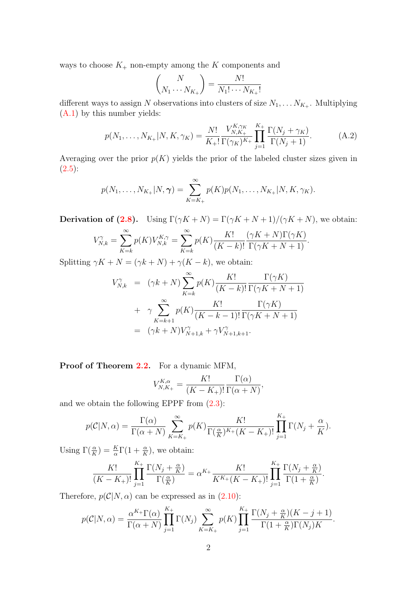ways to choose  $K_{+}$  non-empty among the K components and

$$
\binom{N}{N_1 \cdots N_{K_+}} = \frac{N!}{N_1! \cdots N_{K_+}!}
$$

different ways to assign N observations into clusters of size  $N_1, \ldots N_{K_+}$ . Multiplying [\(A.1\)](#page-29-1) by this number yields:

$$
p(N_1, \ldots, N_{K_+}|N, K, \gamma_K) = \frac{N!}{K_+!} \frac{V_{N, K_+}^{K, \gamma_K}}{\Gamma(\gamma_K)^{K_+}} \prod_{j=1}^{K_+} \frac{\Gamma(N_j + \gamma_K)}{\Gamma(N_j + 1)}.
$$
 (A.2)

Averaging over the prior  $p(K)$  yields the prior of the labeled cluster sizes given in  $(2.5):$  $(2.5):$ 

$$
p(N_1, ..., N_{K_+}|N, \gamma) = \sum_{K=K_+}^{\infty} p(K)p(N_1, ..., N_{K_+}|N, K, \gamma_K).
$$

**Derivation of [\(2.8\)](#page-5-5).** Using  $\Gamma(\gamma K + N) = \Gamma(\gamma K + N + 1)/(\gamma K + N)$ , we obtain:

$$
V_{N,k}^{\gamma} = \sum_{K=k}^{\infty} p(K) V_{N,k}^{K,\gamma} = \sum_{K=k}^{\infty} p(K) \frac{K!}{(K-k)!} \frac{(\gamma K + N) \Gamma(\gamma K)}{\Gamma(\gamma K + N + 1)}.
$$

Splitting  $\gamma K + N = (\gamma k + N) + \gamma (K - k)$ , we obtain:

$$
V_{N,k}^{\gamma} = (\gamma k + N) \sum_{K=k}^{\infty} p(K) \frac{K!}{(K-k)!} \frac{\Gamma(\gamma K)}{\Gamma(\gamma K + N + 1)}
$$
  
+ 
$$
\gamma \sum_{K=k+1}^{\infty} p(K) \frac{K!}{(K-k-1)!} \frac{\Gamma(\gamma K)}{\Gamma(\gamma K + N + 1)}
$$
  
= 
$$
(\gamma k + N) V_{N+1,k}^{\gamma} + \gamma V_{N+1,k+1}^{\gamma}.
$$

Proof of Theorem [2.2.](#page-6-1) For a dynamic MFM,

$$
V_{N,K+}^{K,\alpha} = \frac{K!}{(K-K_+)!} \frac{\Gamma(\alpha)}{\Gamma(\alpha+N)},
$$

and we obtain the following EPPF from [\(2.3\)](#page-5-0):

$$
p(C|N,\alpha) = \frac{\Gamma(\alpha)}{\Gamma(\alpha+N)} \sum_{K=K_{+}}^{\infty} p(K) \frac{K!}{\Gamma(\frac{\alpha}{K})^{K_{+}}(K-K_{+})!} \prod_{j=1}^{K_{+}} \Gamma(N_{j} + \frac{\alpha}{K}).
$$

 $\sim$ 

Using  $\Gamma(\frac{\alpha}{K}) = \frac{K}{\alpha} \Gamma(1 + \frac{\alpha}{K})$ , we obtain:

$$
\frac{K!}{(K-K_+)!} \prod_{j=1}^{K_+} \frac{\Gamma(N_j + \frac{\alpha}{K})}{\Gamma(\frac{\alpha}{K})} = \alpha^{K_+} \frac{K!}{K^{K_+}(K-K_+)!} \prod_{j=1}^{K_+} \frac{\Gamma(N_j + \frac{\alpha}{K})}{\Gamma(1 + \frac{\alpha}{K})}.
$$

Therefore,  $p(\mathcal{C}|N,\alpha)$  can be expressed as in [\(2.10\)](#page-6-4):

$$
p(C|N,\alpha) = \frac{\alpha^{K_{+}}\Gamma(\alpha)}{\Gamma(\alpha+N)}\prod_{j=1}^{K_{+}}\Gamma(N_{j})\sum_{K=K_{+}}^{\infty}p(K)\prod_{j=1}^{K_{+}}\frac{\Gamma(N_{j}+\frac{\alpha}{K})(K-j+1)}{\Gamma(1+\frac{\alpha}{K})\Gamma(N_{j})K}.
$$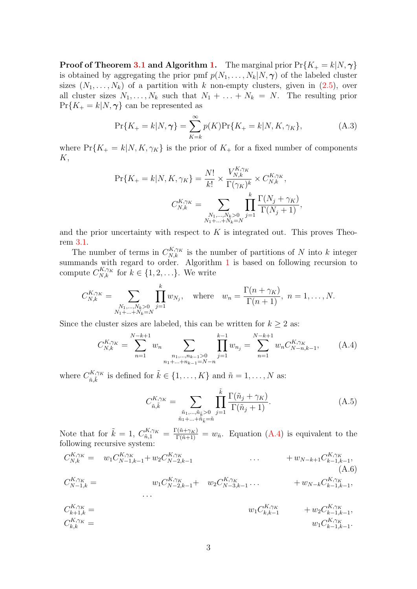**Proof of Theorem [3.1](#page-8-0) and Algorithm [1.](#page-9-0)** The marginal prior  $Pr{K_+ = k|N, \gamma}$ is obtained by aggregating the prior pmf  $p(N_1, \ldots, N_k|N, \gamma)$  of the labeled cluster sizes  $(N_1, \ldots, N_k)$  of a partition with k non-empty clusters, given in  $(2.5)$ , over all cluster sizes  $N_1, \ldots, N_k$  such that  $N_1 + \ldots + N_k = N$ . The resulting prior  $Pr{K_+ = k|N, \gamma}$  can be represented as

$$
\Pr\{K_{+}=k|N,\gamma\} = \sum_{K=k}^{\infty} p(K)\Pr\{K_{+}=k|N,K,\gamma_{K}\},\tag{A.3}
$$

where  $Pr{K_+ = k|N, K, \gamma_K}$  is the prior of  $K_+$  for a fixed number of components  $K,$ 

$$
\Pr\{K_{+} = k | N, K, \gamma_{K}\} = \frac{N!}{k!} \times \frac{V_{N,k}^{K, \gamma_{K}}}{\Gamma(\gamma_{K})^{k}} \times C_{N,k}^{K, \gamma_{K}},
$$

$$
C_{N,k}^{K, \gamma_{K}} = \sum_{\substack{N_{1}, \dots, N_{k} > 0 \\ N_{1} + \dots + N_{k} = N}} \prod_{j=1}^{k} \frac{\Gamma(N_{j} + \gamma_{K})}{\Gamma(N_{j} + 1)},
$$

and the prior uncertainty with respect to  $K$  is integrated out. This proves Theorem [3.1.](#page-8-0)

The number of terms in  $C_{N,k}^{K,\gamma_K}$  is the number of partitions of N into k integer summands with regard to order. Algorithm [1](#page-9-0) is based on following recursion to compute  $C_{N,k}^{K,\gamma_K}$  for  $k \in \{1,2,\ldots\}$ . We write

$$
C_{N,k}^{K,\gamma_K} = \sum_{\substack{N_1,\dots,N_k > 0\\N_1 + \dots + N_k = N}} \prod_{j=1}^k w_{N_j}, \text{ where } w_n = \frac{\Gamma(n + \gamma_K)}{\Gamma(n + 1)}, n = 1,\dots,N.
$$

Since the cluster sizes are labeled, this can be written for  $k \geq 2$  as:

$$
C_{N,k}^{K,\gamma_K} = \sum_{n=1}^{N-k+1} w_n \sum_{\substack{n_1,\dots,n_{k-1}>0\\n_1+\dots+n_{k-1}=N-n}} \prod_{j=1}^{k-1} w_{n_j} = \sum_{n=1}^{N-k+1} w_n C_{N-n,k-1}^{K,\gamma_K},
$$
 (A.4)

where  $C_{\tilde{\sigma}}^{K,\gamma_K}$  ${}_{\tilde{n}, \tilde{k}}^{iK,\gamma_K}$  is defined for  $\tilde{k} \in \{1, \ldots, K\}$  and  $\tilde{n} = 1, \ldots, N$  as:

<span id="page-31-1"></span><span id="page-31-0"></span>
$$
C_{\tilde{n},\tilde{k}}^{K,\gamma_K} = \sum_{\substack{\tilde{n}_1,\ldots,\tilde{n}_{\tilde{k}} > 0 \\ \tilde{n}_1 + \ldots + \tilde{n}_{\tilde{k}} = \tilde{n}}} \prod_{j=1}^{\tilde{k}} \frac{\Gamma(\tilde{n}_j + \gamma_K)}{\Gamma(\tilde{n}_j + 1)}.
$$
\n(A.5)

Note that for  $\tilde{k} = 1$ ,  $C_{\tilde{n},1}^{K,\gamma_K} = \frac{\Gamma(\tilde{n}+\gamma_K)}{\Gamma(\tilde{n}+1)} = w_{\tilde{n}}$ . Equation [\(A.4\)](#page-31-0) is equivalent to the following recursive system:

$$
C_{N,k}^{K,\gamma_K} = w_1 C_{N-1,k-1}^{K,\gamma_K} + w_2 C_{N-2,k-1}^{K,\gamma_K} \cdots + w_{N-k+1} C_{k-1,k-1}^{K,\gamma_K},
$$
  
\n
$$
C_{N-1,k}^{K,\gamma_K} = w_1 C_{N-2,k-1}^{K,\gamma_K} + w_2 C_{N-3,k-1}^{K,\gamma_K} \cdots + w_{N-k} C_{k-1,k-1}^{K,\gamma_K},
$$
  
\n...

$$
C_{k+1,k}^{K,\gamma_K} = \qquad \qquad w_1 C_{k,k-1}^{K,\gamma_K} \qquad + w_2 C_{k-1,k-1}^{K,\gamma_K},
$$
  
\n
$$
C_{k,k}^{K,\gamma_K} = \qquad \qquad w_1 C_{k-1,k-1}^{K,\gamma_K}.
$$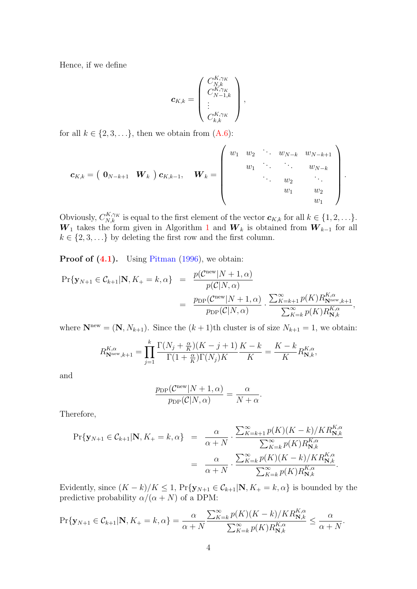Hence, if we define

$$
\boldsymbol{c}_{K,k} = \left(\begin{array}{c} C_{N,k}^{K,\gamma_K} \\ C_{N-1,k}^{K,\gamma_K} \\ \vdots \\ C_{k,k}^{K,\gamma_K} \end{array}\right),
$$

for all  $k \in \{2, 3, \ldots\}$ , then we obtain from  $(A.6)$ :

$$
\boldsymbol{c}_{K,k} = \left( \begin{array}{cccc} \mathbf{0}_{N-k+1} & \boldsymbol{W}_k \end{array} \right) \boldsymbol{c}_{K,k-1}, \quad \boldsymbol{W}_k = \left( \begin{array}{cccc} w_1 & w_2 & \cdots & w_{N-k} & w_{N-k+1} \\ & w_1 & \ddots & \ddots & w_{N-k} \\ & & \ddots & w_2 & \ddots \\ & & & w_1 & w_2 \\ & & & & w_1 \end{array} \right).
$$

Obviously,  $C_{N,k}^{K,\gamma_K}$  is equal to the first element of the vector  $\boldsymbol{c}_{K,k}$  for all  $k \in \{1,2,\ldots\}$ .  $W_1$  $W_1$  takes the form given in Algorithm 1 and  $W_k$  is obtained from  $W_{k-1}$  for all  $k \in \{2, 3, \ldots\}$  by deleting the first row and the first column.

**Proof of [\(4.1\)](#page-12-0).** Using [Pitman](#page-28-7) [\(1996\)](#page-28-7), we obtain:

$$
Pr{\mathbf{y}_{N+1} \in C_{k+1} | \mathbf{N}, K_{+} = k, \alpha} = \frac{p(C^{\text{new}}|N+1, \alpha)}{p(C|N, \alpha)}
$$
  
= 
$$
\frac{p_{\text{DP}}(C^{\text{new}}|N+1, \alpha)}{p_{\text{DP}}(C|N, \alpha)} \cdot \frac{\sum_{K=k+1}^{\infty} p(K) R_{\mathbf{N}^{\text{new}}, k+1}^{K, \alpha}}{\sum_{K=k}^{\infty} p(K) R_{\mathbf{N}, k}^{K, \alpha}},
$$

where  $\mathbf{N}^{\text{new}} = (\mathbf{N}, N_{k+1})$ . Since the  $(k+1)$ th cluster is of size  $N_{k+1} = 1$ , we obtain:

$$
R_{\mathbf{N}^{\text{new}},k+1}^{K,\alpha} = \prod_{j=1}^{k} \frac{\Gamma(N_j + \frac{\alpha}{K})(K-j+1)}{\Gamma(1 + \frac{\alpha}{K})\Gamma(N_j)K} \frac{K-k}{K} = \frac{K-k}{K} R_{\mathbf{N},k}^{K,\alpha},
$$

and

$$
\frac{p_{\rm DP}(\mathcal{C}^{\rm new}|N+1,\alpha)}{p_{\rm DP}(\mathcal{C}|N,\alpha)} = \frac{\alpha}{N+\alpha}
$$

.

Therefore,

$$
\Pr\{\mathbf{y}_{N+1} \in \mathcal{C}_{k+1} | \mathbf{N}, K_+ = k, \alpha\} = \frac{\alpha}{\alpha + N} \cdot \frac{\sum_{K=k+1}^{\infty} p(K)(K-k)/KR_{\mathbf{N},k}^{K,\alpha}}{\sum_{K=k}^{\infty} p(K)R_{\mathbf{N},k}^{K,\alpha}}
$$

$$
= \frac{\alpha}{\alpha + N} \cdot \frac{\sum_{K=k}^{\infty} p(K)(K-k)/KR_{\mathbf{N},k}^{K,\alpha}}{\sum_{K=k}^{\infty} p(K)R_{\mathbf{N},k}^{K,\alpha}}.
$$

Evidently, since  $(K - k)/K \leq 1$ ,  $Pr{\mathbf{y}_{N+1} \in C_{k+1} | \mathbf{N}, K_+ = k, \alpha}$  is bounded by the predictive probability  $\alpha/(\alpha+N)$  of a DPM:

$$
\Pr\{\mathbf{y}_{N+1}\in\mathcal{C}_{k+1}|\mathbf{N},K_{+}=k,\alpha\}=\frac{\alpha}{\alpha+N}\frac{\sum_{K=k}^{\infty}p(K)(K-k)/KR_{\mathbf{N},k}^{K,\alpha}}{\sum_{K=k}^{\infty}p(K)R_{\mathbf{N},k}^{K,\alpha}}\leq\frac{\alpha}{\alpha+N}.
$$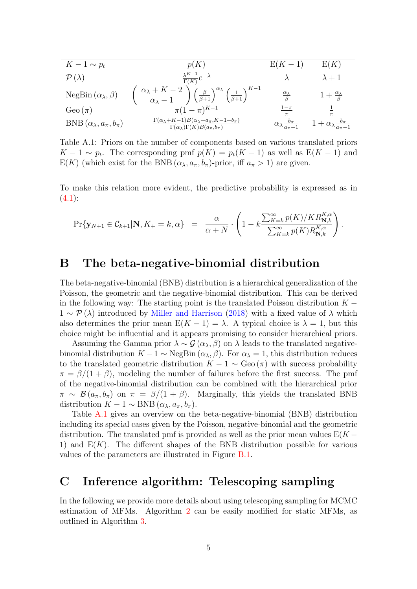<span id="page-33-2"></span>

| $K-1 \sim p_t$                             | p(K)                                                                                                                                                                                          | $E(K-1)$                                     | E(K)                                             |
|--------------------------------------------|-----------------------------------------------------------------------------------------------------------------------------------------------------------------------------------------------|----------------------------------------------|--------------------------------------------------|
| $\mathcal{P}(\lambda)$                     | $\frac{\lambda^{K-1}}{\Gamma(K)}e^{-\lambda}$                                                                                                                                                 |                                              | $\lambda + 1$                                    |
| NegBin $(\alpha_{\lambda}, \beta)$         | $\begin{pmatrix} \alpha_{\lambda}+K-2 \\ \alpha_{\lambda}-1 \end{pmatrix} \begin{pmatrix} \beta \\ \beta+1 \end{pmatrix}^{\alpha_{\lambda}} \begin{pmatrix} 1 \\ \beta+1 \end{pmatrix}^{K-1}$ | $\frac{\alpha_{\lambda}}{\beta}$             | $1+\frac{\alpha_{\lambda}}{\beta}$               |
| Geo $(\pi)$                                | $\pi (1 - \pi)^{K-1}$                                                                                                                                                                         | $1-\pi$                                      |                                                  |
| BNB $(\alpha_{\lambda}, a_{\pi}, b_{\pi})$ | $\Gamma(\alpha_{\lambda}+K-1)B(\alpha_{\lambda}+a_{\pi},K-1+b_{\pi})$<br>$\Gamma(\alpha_{\lambda})\Gamma(K)B(a_{\pi},b_{\pi})$                                                                | $\alpha_{\lambda} \frac{b_{\pi}}{a_{\pi}-1}$ | $1 + \alpha_{\lambda} \frac{b_{\pi}}{a_{\pi}-1}$ |

Table A.1: Priors on the number of components based on various translated priors  $K-1 \sim p_t$ . The corresponding pmf  $p(K) = p_t(K-1)$  as well as  $E(K-1)$  and  $E(K)$  (which exist for the BNB  $(\alpha_{\lambda}, a_{\pi}, b_{\pi})$ -prior, iff  $a_{\pi} > 1$ ) are given.

To make this relation more evident, the predictive probability is expressed as in  $(4.1):$  $(4.1):$ 

$$
\Pr\{\mathbf{y}_{N+1}\in\mathcal{C}_{k+1}|\mathbf{N},K_{+}=k,\alpha\} = \frac{\alpha}{\alpha+N}\cdot\left(1-k\frac{\sum_{K=k}^{\infty}p(K)/KR_{\mathbf{N},k}^{K,\alpha}}{\sum_{K=k}^{\infty}p(K)R_{\mathbf{N},k}^{K,\alpha}}\right).
$$

# <span id="page-33-0"></span>B The beta-negative-binomial distribution

The beta-negative-binomial (BNB) distribution is a hierarchical generalization of the Poisson, the geometric and the negative-binomial distribution. This can be derived in the following way: The starting point is the translated Poisson distribution  $K 1 \sim \mathcal{P}(\lambda)$  introduced by [Miller and Harrison](#page-27-1) [\(2018\)](#page-27-1) with a fixed value of  $\lambda$  which also determines the prior mean  $E(K-1) = \lambda$ . A typical choice is  $\lambda = 1$ , but this choice might be influential and it appears promising to consider hierarchical priors.

Assuming the Gamma prior  $\lambda \sim \mathcal{G}(\alpha_{\lambda}, \beta)$  on  $\lambda$  leads to the translated negativebinomial distribution  $K - 1 \sim \text{NegBin}(\alpha_{\lambda}, \beta)$ . For  $\alpha_{\lambda} = 1$ , this distribution reduces to the translated geometric distribution  $K - 1 \sim \text{Geo}(\pi)$  with success probability  $\pi = \beta/(1+\beta)$ , modeling the number of failures before the first success. The pmf of the negative-binomial distribution can be combined with the hierarchical prior  $\pi \sim \mathcal{B}(a_{\pi}, b_{\pi})$  on  $\pi = \beta/(1 + \beta)$ . Marginally, this yields the translated BNB distribution  $K - 1 \sim \text{BNB}(\alpha_{\lambda}, a_{\pi}, b_{\pi}).$ 

Table [A.1](#page-33-2) gives an overview on the beta-negative-binomial (BNB) distribution including its special cases given by the Poisson, negative-binomial and the geometric distribution. The translated pmf is provided as well as the prior mean values  $E(K -$ 1) and  $E(K)$ . The different shapes of the BNB distribution possible for various values of the parameters are illustrated in Figure [B.1.](#page-34-0)

# <span id="page-33-1"></span>C Inference algorithm: Telescoping sampling

In the following we provide more details about using telescoping sampling for MCMC estimation of MFMs. Algorithm [2](#page-16-0) can be easily modified for static MFMs, as outlined in Algorithm [3.](#page-35-0)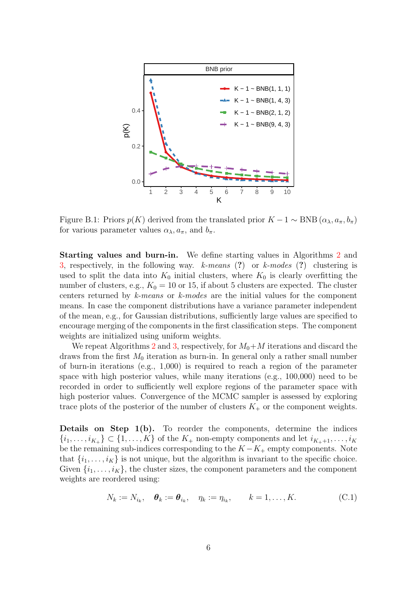<span id="page-34-0"></span>

Figure B.1: Priors  $p(K)$  derived from the translated prior  $K - 1 \sim BNB (\alpha_{\lambda}, a_{\pi}, b_{\pi})$ for various parameter values  $\alpha_{\lambda}, a_{\pi}$ , and  $b_{\pi}$ .

Starting values and burn-in. We define starting values in Algorithms [2](#page-16-0) and [3,](#page-35-0) respectively, in the following way.  $k$ -means (?) or  $k$ -modes (?) clustering is used to split the data into  $K_0$  initial clusters, where  $K_0$  is clearly overfitting the number of clusters, e.g.,  $K_0 = 10$  or 15, if about 5 clusters are expected. The cluster centers returned by k-means or k-modes are the initial values for the component means. In case the component distributions have a variance parameter independent of the mean, e.g., for Gaussian distributions, sufficiently large values are specified to encourage merging of the components in the first classification steps. The component weights are initialized using uniform weights.

We repeat Algorithms [2](#page-16-0) and [3,](#page-35-0) respectively, for  $M_0+M$  iterations and discard the draws from the first  $M_0$  iteration as burn-in. In general only a rather small number of burn-in iterations (e.g., 1,000) is required to reach a region of the parameter space with high posterior values, while many iterations (e.g., 100,000) need to be recorded in order to sufficiently well explore regions of the parameter space with high posterior values. Convergence of the MCMC sampler is assessed by exploring trace plots of the posterior of the number of clusters  $K_{+}$  or the component weights.

**Details on Step 1(b).** To reorder the components, determine the indices  $\{i_1,\ldots,i_{K_{+}}\}\subset\{1,\ldots,K\}$  of the  $K_{+}$  non-empty components and let  $i_{K_{+}+1},\ldots,i_K$ be the remaining sub-indices corresponding to the  $K - K_+$  empty components. Note that  $\{i_1, \ldots, i_K\}$  is not unique, but the algorithm is invariant to the specific choice. Given  $\{i_1, \ldots, i_K\}$ , the cluster sizes, the component parameters and the component weights are reordered using:

<span id="page-34-1"></span>
$$
N_k := N_{i_k}, \quad \boldsymbol{\theta}_k := \boldsymbol{\theta}_{i_k}, \quad \eta_k := \eta_{i_k}, \qquad k = 1, \dots, K. \tag{C.1}
$$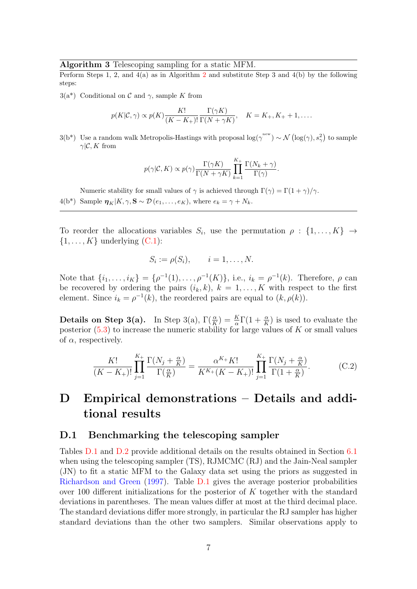#### <span id="page-35-0"></span>Algorithm 3 Telescoping sampling for a static MFM.

Perform Steps 1, [2](#page-16-0), and  $4(a)$  as in Algorithm 2 and substitute Step 3 and  $4(b)$  by the following steps:

 $3(a^*)$  Conditional on C and  $\gamma$ , sample K from

$$
p(K|\mathcal{C}, \gamma) \propto p(K) \frac{K!}{(K - K_+)!} \frac{\Gamma(\gamma K)}{\Gamma(N + \gamma K)}, \quad K = K_+, K_+ + 1, \dots
$$

 $3(b^*)$  Use a random walk Metropolis-Hastings with proposal  $\log(\gamma^{\text{new}}) \sim \mathcal{N}(\log(\gamma), s_\gamma^2)$  to sample  $\gamma$ |C, K from

$$
p(\gamma|\mathcal{C}, K) \propto p(\gamma) \frac{\Gamma(\gamma K)}{\Gamma(N + \gamma K)} \prod_{k=1}^{K_+} \frac{\Gamma(N_k + \gamma)}{\Gamma(\gamma)}.
$$

Numeric stability for small values of  $\gamma$  is achieved through  $\Gamma(\gamma) = \Gamma(1 + \gamma)/\gamma$ . 4(b\*) Sample  $\eta_K|K, \gamma, S \sim \mathcal{D}(e_1, \ldots, e_K)$ , where  $e_k = \gamma + N_k$ .

To reorder the allocations variables  $S_i$ , use the permutation  $\rho : \{1, \ldots, K\} \rightarrow$  $\{1, \ldots, K\}$  underlying  $(C.1)$ :

$$
S_i := \rho(S_i), \qquad i = 1, \dots, N.
$$

Note that  $\{i_1, \ldots, i_K\} = \{\rho^{-1}(1), \ldots, \rho^{-1}(K)\},\$ i.e.,  $i_k = \rho^{-1}(k)$ . Therefore,  $\rho$  can be recovered by ordering the pairs  $(i_k, k)$ ,  $k = 1, ..., K$  with respect to the first element. Since  $i_k = \rho^{-1}(k)$ , the reordered pairs are equal to  $(k, \rho(k))$ .

**Details on Step 3(a).** In Step 3(a),  $\Gamma(\frac{\alpha}{K}) = \frac{K}{\alpha}\Gamma(1+\frac{\alpha}{K})$  is used to evaluate the posterior  $(5.3)$  to increase the numeric stability for large values of K or small values of  $\alpha$ , respectively.

$$
\frac{K!}{(K-K_+)!} \prod_{j=1}^{K_+} \frac{\Gamma(N_j + \frac{\alpha}{K})}{\Gamma(\frac{\alpha}{K})} = \frac{\alpha^{K_+} K!}{K^{K_+} (K - K_+)!} \prod_{j=1}^{K_+} \frac{\Gamma(N_j + \frac{\alpha}{K})}{\Gamma(1 + \frac{\alpha}{K})}.
$$
 (C.2)

# D Empirical demonstrations – Details and additional results

#### <span id="page-35-1"></span>D.1 Benchmarking the telescoping sampler

Tables [D.1](#page-36-0) and [D.2](#page-36-1) provide additional details on the results obtained in Section [6.1](#page-18-2) when using the telescoping sampler (TS), RJMCMC (RJ) and the Jain-Neal sampler (JN) to fit a static MFM to the Galaxy data set using the priors as suggested in [Richardson and Green](#page-28-0) [\(1997\)](#page-28-0). Table [D.1](#page-36-0) gives the average posterior probabilities over 100 different initializations for the posterior of  $K$  together with the standard deviations in parentheses. The mean values differ at most at the third decimal place. The standard deviations differ more strongly, in particular the RJ sampler has higher standard deviations than the other two samplers. Similar observations apply to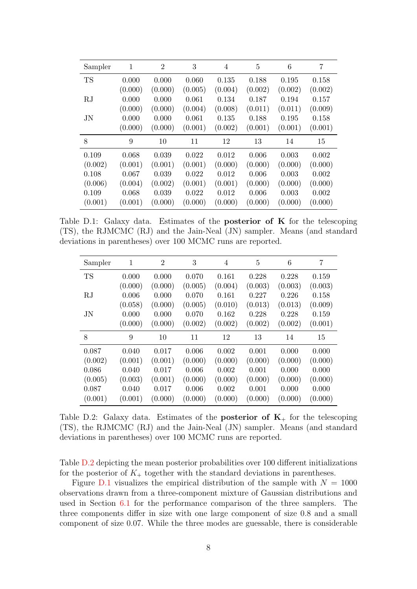<span id="page-36-0"></span>

| Sampler     | 1       | $\overline{2}$ | 3       | 4       | 5       | 6       | 7       |
|-------------|---------|----------------|---------|---------|---------|---------|---------|
| <b>TS</b>   | 0.000   | 0.000          | 0.060   | 0.135   | 0.188   | 0.195   | 0.158   |
|             | (0.000) | (0.000)        | (0.005) | (0.004) | (0.002) | (0.002) | (0.002) |
| RJ          | 0.000   | 0.000          | 0.061   | 0.134   | 0.187   | 0.194   | 0.157   |
|             | (0.000) | (0.000)        | (0.004) | (0.008) | (0.011) | (0.011) | (0.009) |
| $_{\rm JN}$ | 0.000   | 0.000          | 0.061   | 0.135   | 0.188   | 0.195   | 0.158   |
|             | (0.000) | (0.000)        | (0.001) | (0.002) | (0.001) | (0.001) | (0.001) |
| 8           | 9       | 10             | 11      | 12      | 13      | 14      | 15      |
| 0.109       | 0.068   | 0.039          | 0.022   | 0.012   | 0.006   | 0.003   | 0.002   |
| (0.002)     | (0.001) | (0.001)        | (0.001) | (0.000) | (0.000) | (0.000) | (0.000) |
| 0.108       | 0.067   | 0.039          | 0.022   | 0.012   | 0.006   | 0.003   | 0.002   |
| (0.006)     | (0.004) | (0.002)        | (0.001) | (0.001) | (0.000) | (0.000) | (0.000) |
| 0.109       | 0.068   | 0.039          | 0.022   | 0.012   | 0.006   | 0.003   | 0.002   |
| (0.001)     | (0.001) | (0.000)        | (0.000) | (0.000) | (0.000) | (0.000) | (0.000) |

Table D.1: Galaxy data. Estimates of the **posterior of K** for the telescoping (TS), the RJMCMC (RJ) and the Jain-Neal (JN) sampler. Means (and standard deviations in parentheses) over 100 MCMC runs are reported.

<span id="page-36-1"></span>

| Sampler   | $\mathbf 1$ | $\overline{2}$ | 3       | 4       | 5       | 6       | 7       |
|-----------|-------------|----------------|---------|---------|---------|---------|---------|
| <b>TS</b> | 0.000       | 0.000          | 0.070   | 0.161   | 0.228   | 0.228   | 0.159   |
|           | (0.000)     | (0.000)        | (0.005) | (0.004) | (0.003) | (0.003) | (0.003) |
| RJ        | 0.006       | 0.000          | 0.070   | 0.161   | 0.227   | 0.226   | 0.158   |
|           | (0.058)     | (0.000)        | (0.005) | (0.010) | (0.013) | (0.013) | (0.009) |
| <b>JN</b> | 0.000       | 0.000          | 0.070   | 0.162   | 0.228   | 0.228   | 0.159   |
|           | (0.000)     | (0.000)        | (0.002) | (0.002) | (0.002) | (0.002) | (0.001) |
| 8         | 9           | 10             | 11      | 12      | 13      | 14      | 15      |
| 0.087     | 0.040       | 0.017          | 0.006   | 0.002   | 0.001   | 0.000   | 0.000   |
| (0.002)   | (0.001)     | (0.001)        | (0.000) | (0.000) | (0.000) | (0.000) | (0.000) |
| 0.086     | 0.040       | 0.017          | 0.006   | 0.002   | 0.001   | 0.000   | 0.000   |
| (0.005)   | (0.003)     | (0.001)        | (0.000) | (0.000) | (0.000) | (0.000) | (0.000) |
| 0.087     | 0.040       | 0.017          | 0.006   | 0.002   | 0.001   | 0.000   | 0.000   |
| (0.001)   | (0.001)     | (0.000)        | (0.000) | (0.000) | (0.000) | (0.000) | (0.000) |

Table D.2: Galaxy data. Estimates of the **posterior of K** for the telescoping (TS), the RJMCMC (RJ) and the Jain-Neal (JN) sampler. Means (and standard deviations in parentheses) over 100 MCMC runs are reported.

Table [D.2](#page-36-1) depicting the mean posterior probabilities over 100 different initializations for the posterior of  $K_{+}$  together with the standard deviations in parentheses.

Figure [D.1](#page-37-0) visualizes the empirical distribution of the sample with  $N = 1000$ observations drawn from a three-component mixture of Gaussian distributions and used in Section [6.1](#page-18-2) for the performance comparison of the three samplers. The three components differ in size with one large component of size 0.8 and a small component of size 0.07. While the three modes are guessable, there is considerable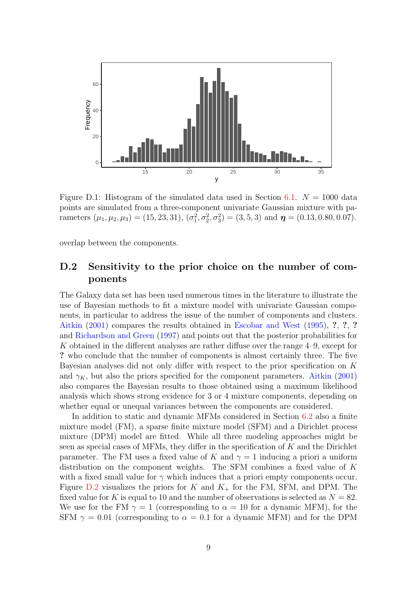<span id="page-37-0"></span>

Figure D.1: Histogram of the simulated data used in Section [6.1.](#page-18-2)  $N = 1000$  data points are simulated from a three-component univariate Gaussian mixture with parameters  $(\mu_1, \mu_2, \mu_3) = (15, 23, 31), (\sigma_1^2, \sigma_2^2, \sigma_3^2) = (3, 5, 3)$  and  $\boldsymbol{\eta} = (0.13, 0.80, 0.07)$ .

overlap between the components.

### <span id="page-37-1"></span>D.2 Sensitivity to the prior choice on the number of components

The Galaxy data set has been used numerous times in the literature to illustrate the use of Bayesian methods to fit a mixture model with univariate Gaussian components, in particular to address the issue of the number of components and clusters. [Aitkin](#page-25-3) [\(2001\)](#page-25-3) compares the results obtained in [Escobar and West](#page-26-12) [\(1995\)](#page-26-12), ?, ?, ? and [Richardson and Green](#page-28-0) [\(1997\)](#page-28-0) and points out that the posterior probabilities for K obtained in the different analyses are rather diffuse over the range 4–9, except for ? who conclude that the number of components is almost certainly three. The five Bayesian analyses did not only differ with respect to the prior specification on K and  $\gamma_K$ , but also the priors specified for the component parameters. [Aitkin](#page-25-3) [\(2001\)](#page-25-3) also compares the Bayesian results to those obtained using a maximum likelihood analysis which shows strong evidence for 3 or 4 mixture components, depending on whether equal or unequal variances between the components are considered.

In addition to static and dynamic MFMs considered in Section [6.2](#page-20-0) also a finite mixture model (FM), a sparse finite mixture model (SFM) and a Dirichlet process mixture (DPM) model are fitted. While all three modeling approaches might be seen as special cases of MFMs, they differ in the specification of K and the Dirichlet parameter. The FM uses a fixed value of K and  $\gamma = 1$  inducing a priori a uniform distribution on the component weights. The SFM combines a fixed value of K with a fixed small value for  $\gamma$  which induces that a priori empty components occur. Figure  $D.2$  visualizes the priors for K and  $K_{+}$  for the FM, SFM, and DPM. The fixed value for K is equal to 10 and the number of observations is selected as  $N = 82$ . We use for the FM  $\gamma = 1$  (corresponding to  $\alpha = 10$  for a dynamic MFM), for the SFM  $\gamma = 0.01$  (corresponding to  $\alpha = 0.1$  for a dynamic MFM) and for the DPM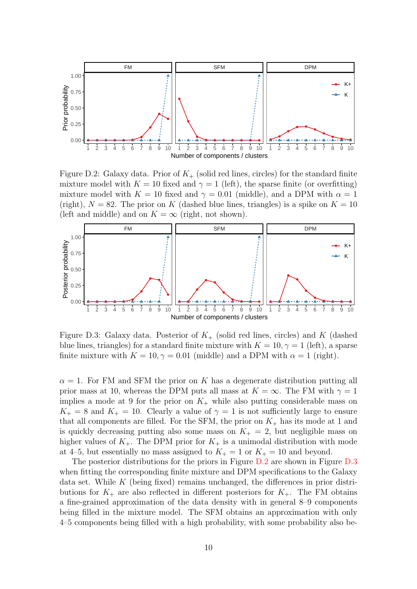<span id="page-38-0"></span>

Figure D.2: Galaxy data. Prior of  $K_{+}$  (solid red lines, circles) for the standard finite mixture model with  $K = 10$  fixed and  $\gamma = 1$  (left), the sparse finite (or overfitting) mixture model with  $K = 10$  fixed and  $\gamma = 0.01$  (middle), and a DPM with  $\alpha = 1$ (right),  $N = 82$ . The prior on K (dashed blue lines, triangles) is a spike on  $K = 10$ (left and middle) and on  $K = \infty$  (right, not shown).



Figure D.3: Galaxy data. Posterior of  $K_{+}$  (solid red lines, circles) and K (dashed blue lines, triangles) for a standard finite mixture with  $K = 10, \gamma = 1$  (left), a sparse finite mixture with  $K = 10, \gamma = 0.01$  (middle) and a DPM with  $\alpha = 1$  (right).

 $\alpha = 1$ . For FM and SFM the prior on K has a degenerate distribution putting all prior mass at 10, whereas the DPM puts all mass at  $K = \infty$ . The FM with  $\gamma = 1$ implies a mode at 9 for the prior on  $K_{+}$  while also putting considerable mass on  $K_{+} = 8$  and  $K_{+} = 10$ . Clearly a value of  $\gamma = 1$  is not sufficiently large to ensure that all components are filled. For the SFM, the prior on  $K_{+}$  has its mode at 1 and is quickly decreasing putting also some mass on  $K_{+} = 2$ , but negligible mass on higher values of  $K_{+}$ . The DPM prior for  $K_{+}$  is a unimodal distribution with mode at 4–5, but essentially no mass assigned to  $K_{+} = 1$  or  $K_{+} = 10$  and beyond.

The posterior distributions for the priors in Figure [D.2](#page-38-0) are shown in Figure [D.3](#page-38-0) when fitting the corresponding finite mixture and DPM specifications to the Galaxy data set. While  $K$  (being fixed) remains unchanged, the differences in prior distributions for  $K_{+}$  are also reflected in different posteriors for  $K_{+}$ . The FM obtains a fine-grained approximation of the data density with in general 8–9 components being filled in the mixture model. The SFM obtains an approximation with only 4–5 components being filled with a high probability, with some probability also be-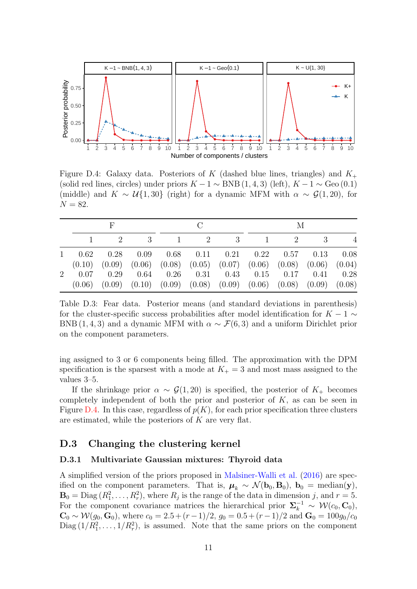<span id="page-39-1"></span>

Figure D.4: Galaxy data. Posteriors of K (dashed blue lines, triangles) and  $K_{+}$ (solid red lines, circles) under priors  $K - 1 \sim BNB(1, 4, 3)$  (left),  $K - 1 \sim$  Geo (0.1) (middle) and  $K \sim \mathcal{U}{1,30}$  (right) for a dynamic MFM with  $\alpha \sim \mathcal{G}(1,20)$ , for  $N = 82.$ 

<span id="page-39-2"></span>

|             |      |  |                                                                                                                                                      | M |  |  |                |
|-------------|------|--|------------------------------------------------------------------------------------------------------------------------------------------------------|---|--|--|----------------|
|             |      |  | 3 1 2 3 1 2 3                                                                                                                                        |   |  |  | $\overline{4}$ |
| $1 \t 0.62$ | 0.28 |  | $0.09$ $0.68$ $0.11$ $0.21$ $0.22$ $0.57$ $0.13$ $0.08$<br>$(0.10)$ $(0.09)$ $(0.06)$ $(0.08)$ $(0.05)$ $(0.07)$ $(0.06)$ $(0.08)$ $(0.06)$ $(0.04)$ |   |  |  |                |
| $2 \t 0.07$ | 0.29 |  | $0.64$ $0.26$ $0.31$ $0.43$ $0.15$ $0.17$ $0.41$ $0.28$<br>$(0.06)$ $(0.09)$ $(0.10)$ $(0.09)$ $(0.08)$ $(0.09)$ $(0.06)$ $(0.08)$ $(0.09)$ $(0.08)$ |   |  |  |                |

Table D.3: Fear data. Posterior means (and standard deviations in parenthesis) for the cluster-specific success probabilities after model identification for  $K - 1 \sim$ BNB (1, 4, 3) and a dynamic MFM with  $\alpha \sim \mathcal{F}(6, 3)$  and a uniform Dirichlet prior on the component parameters.

ing assigned to 3 or 6 components being filled. The approximation with the DPM specification is the sparsest with a mode at  $K_{+} = 3$  and most mass assigned to the values 3–5.

If the shrinkage prior  $\alpha \sim \mathcal{G}(1, 20)$  is specified, the posterior of  $K_{+}$  becomes completely independent of both the prior and posterior of  $K$ , as can be seen in Figure [D.4.](#page-39-1) In this case, regardless of  $p(K)$ , for each prior specification three clusters are estimated, while the posteriors of  $K$  are very flat.

### D.3 Changing the clustering kernel

#### <span id="page-39-0"></span>D.3.1 Multivariate Gaussian mixtures: Thyroid data

A simplified version of the priors proposed in [Malsiner-Walli et al.](#page-27-3) [\(2016\)](#page-27-3) are specified on the component parameters. That is,  $\mu_k \sim \mathcal{N}(\mathbf{b}_0, \mathbf{B}_0)$ ,  $\mathbf{b}_0 = \text{median}(\mathbf{y})$ ,  $\mathbf{B}_0 = \text{Diag}(R_1^2, \ldots, R_r^2)$ , where  $R_j$  is the range of the data in dimension j, and  $r = 5$ . For the component covariance matrices the hierarchical prior  $\Sigma_k^{-1} \sim \mathcal{W}(c_0, \mathbf{C}_0)$ ,  $\mathbf{C}_0 \sim \mathcal{W}(g_0, \mathbf{G}_0)$ , where  $c_0 = 2.5 + (r - 1)/2$ ,  $g_0 = 0.5 + (r - 1)/2$  and  $\mathbf{G}_0 = 100g_0/c_0$ Diag  $(1/R_1^2, \ldots, 1/R_r^2)$ , is assumed. Note that the same priors on the component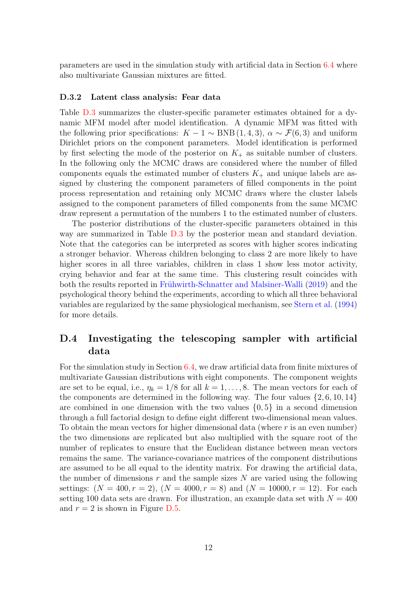parameters are used in the simulation study with artificial data in Section [6.4](#page-23-1) where also multivariate Gaussian mixtures are fitted.

#### <span id="page-40-0"></span>D.3.2 Latent class analysis: Fear data

Table [D.3](#page-39-2) summarizes the cluster-specific parameter estimates obtained for a dynamic MFM model after model identification. A dynamic MFM was fitted with the following prior specifications:  $K - 1 \sim BNB(1, 4, 3), \alpha \sim \mathcal{F}(6, 3)$  and uniform Dirichlet priors on the component parameters. Model identification is performed by first selecting the mode of the posterior on  $K_{+}$  as suitable number of clusters. In the following only the MCMC draws are considered where the number of filled components equals the estimated number of clusters  $K_{+}$  and unique labels are assigned by clustering the component parameters of filled components in the point process representation and retaining only MCMC draws where the cluster labels assigned to the component parameters of filled components from the same MCMC draw represent a permutation of the numbers 1 to the estimated number of clusters.

The posterior distributions of the cluster-specific parameters obtained in this way are summarized in Table [D.3](#page-39-2) by the posterior mean and standard deviation. Note that the categories can be interpreted as scores with higher scores indicating a stronger behavior. Whereas children belonging to class 2 are more likely to have higher scores in all three variables, children in class 1 show less motor activity, crying behavior and fear at the same time. This clustering result coincides with both the results reported in Frühwirth-Schnatter and Malsiner-Walli [\(2019\)](#page-26-2) and the psychological theory behind the experiments, according to which all three behavioral variables are regularized by the same physiological mechanism, see [Stern et al.](#page-28-12) [\(1994\)](#page-28-12) for more details.

## <span id="page-40-1"></span>D.4 Investigating the telescoping sampler with artificial data

For the simulation study in Section [6.4,](#page-23-1) we draw artificial data from finite mixtures of multivariate Gaussian distributions with eight components. The component weights are set to be equal, i.e.,  $\eta_k = 1/8$  for all  $k = 1, \ldots, 8$ . The mean vectors for each of the components are determined in the following way. The four values  $\{2, 6, 10, 14\}$ are combined in one dimension with the two values  $\{0, 5\}$  in a second dimension through a full factorial design to define eight different two-dimensional mean values. To obtain the mean vectors for higher dimensional data (where  $r$  is an even number) the two dimensions are replicated but also multiplied with the square root of the number of replicates to ensure that the Euclidean distance between mean vectors remains the same. The variance-covariance matrices of the component distributions are assumed to be all equal to the identity matrix. For drawing the artificial data, the number of dimensions r and the sample sizes N are varied using the following settings:  $(N = 400, r = 2)$ ,  $(N = 4000, r = 8)$  and  $(N = 10000, r = 12)$ . For each setting 100 data sets are drawn. For illustration, an example data set with  $N = 400$ and  $r = 2$  is shown in Figure [D.5.](#page-41-0)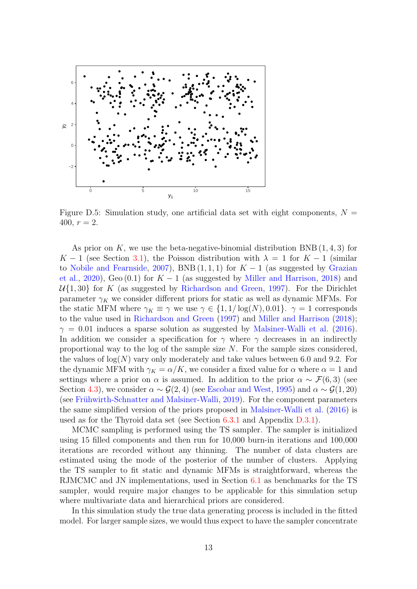<span id="page-41-0"></span>

Figure D.5: Simulation study, one artificial data set with eight components,  $N =$ 400,  $r = 2$ .

As prior on K, we use the beta-negative-binomial distribution  $\text{BNB}(1, 4, 3)$  for K − 1 (see Section [3.1\)](#page-6-3), the Poisson distribution with  $\lambda = 1$  for  $K - 1$  (similar to [Nobile and Fearnside,](#page-28-8) [2007\)](#page-28-8), BNB  $(1,1,1)$  for  $K-1$  (as suggested by [Grazian](#page-26-5) [et al.,](#page-26-5) [2020\)](#page-26-5), Geo (0.1) for  $K-1$  (as suggested by [Miller and Harrison,](#page-27-1) [2018\)](#page-27-1) and  $U\{1, 30\}$  for K (as suggested by [Richardson and Green,](#page-28-0) [1997\)](#page-28-0). For the Dirichlet parameter  $\gamma_K$  we consider different priors for static as well as dynamic MFMs. For the static MFM where  $\gamma_K \equiv \gamma$  we use  $\gamma \in \{1, 1/\log(N), 0.01\}$ .  $\gamma = 1$  corresponds to the value used in [Richardson and Green](#page-28-0) [\(1997\)](#page-28-0) and [Miller and Harrison](#page-27-1) [\(2018\)](#page-27-1);  $\gamma = 0.01$  induces a sparse solution as suggested by [Malsiner-Walli et al.](#page-27-3) [\(2016\)](#page-27-3). In addition we consider a specification for  $\gamma$  where  $\gamma$  decreases in an indirectly proportional way to the log of the sample size  $N$ . For the sample sizes considered, the values of  $log(N)$  vary only moderately and take values between 6.0 and 9.2. For the dynamic MFM with  $\gamma_K = \alpha/K$ , we consider a fixed value for  $\alpha$  where  $\alpha = 1$  and settings where a prior on  $\alpha$  is assumed. In addition to the prior  $\alpha \sim \mathcal{F}(6,3)$  (see Section [4.3\)](#page-14-1), we consider  $\alpha \sim \mathcal{G}(2, 4)$  (see [Escobar and West,](#page-26-12) [1995\)](#page-26-12) and  $\alpha \sim \mathcal{G}(1, 20)$ (see Frühwirth-Schnatter and Malsiner-Walli, [2019\)](#page-26-2). For the component parameters the same simplified version of the priors proposed in [Malsiner-Walli et al.](#page-27-3) [\(2016\)](#page-27-3) is used as for the Thyroid data set (see Section [6.3.1](#page-22-0) and Appendix [D.3.1\)](#page-39-0).

MCMC sampling is performed using the TS sampler. The sampler is initialized using 15 filled components and then run for 10,000 burn-in iterations and 100,000 iterations are recorded without any thinning. The number of data clusters are estimated using the mode of the posterior of the number of clusters. Applying the TS sampler to fit static and dynamic MFMs is straightforward, whereas the RJMCMC and JN implementations, used in Section [6.1](#page-18-2) as benchmarks for the TS sampler, would require major changes to be applicable for this simulation setup where multivariate data and hierarchical priors are considered.

In this simulation study the true data generating process is included in the fitted model. For larger sample sizes, we would thus expect to have the sampler concentrate